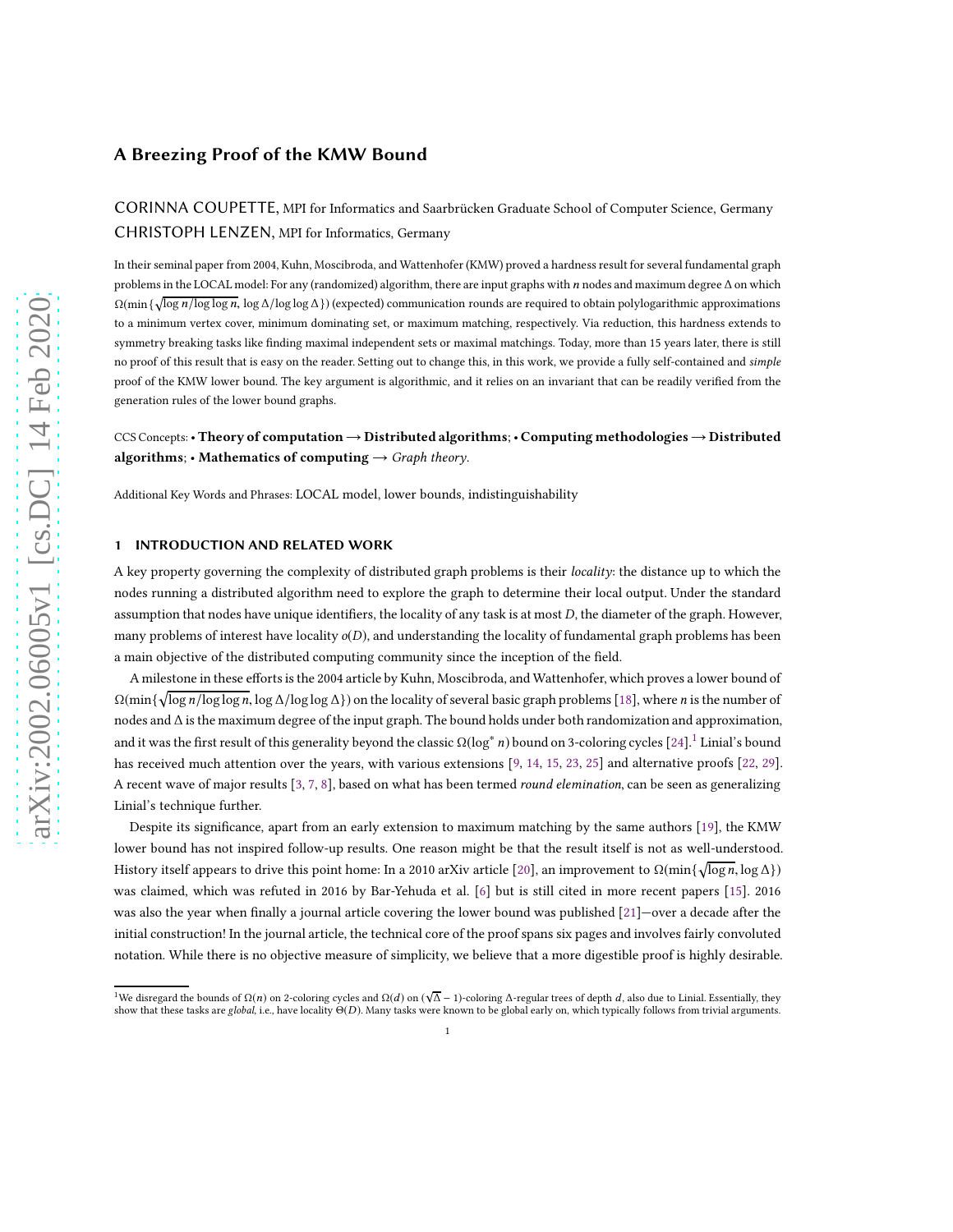CORINNA COUPETTE, MPI for Informatics and Saarbrücken Graduate School of Computer Science, Germany CHRISTOPH LENZEN, MPI for Informatics, Germany

In their seminal paper from 2004, Kuhn, Moscibroda, and Wattenhofer(KMW) proved a hardness result for several fundamental graph problems in the LOCAL model: For any (randomized) algorithm, there are input graphs with  $n$  nodes and maximum degree  $\Delta$  on which  $Ω(min {\sqrt{\log n/\log\log n}}$ , log Δ/log log Δ}) (expected) communication rounds are required to obtain polylogarithmic approximations to a minimum vertex cover, minimum dominating set, or maximum matching, respectively. Via reduction, this hardness extends to symmetry breaking tasks like finding maximal independent sets or maximal matchings. Today, more than 15 years later, there is still no proof of this result that is easy on the reader. Setting out to change this, in this work, we provide a fully self-contained and simple proof of the KMW lower bound. The key argument is algorithmic, and it relies on an invariant that can be readily verified from the generation rules of the lower bound graphs.

CCS Concepts:• Theory of computation→Distributed algorithms; • Computing methodologies→Distributed algorithms; • Mathematics of computing  $\rightarrow$  Graph theory.

Additional Key Words and Phrases: LOCAL model, lower bounds, indistinguishability

## 1 INTRODUCTION AND RELATED WORK

A key property governing the complexity of distributed graph problems is their locality: the distance up to which the nodes running a distributed algorithm need to explore the graph to determine their local output. Under the standard assumption that nodes have unique identifiers, the locality of any task is at most D, the diameter of the graph. However, many problems of interest have locality  $o(D)$ , and understanding the locality of fundamental graph problems has been a main objective of the distributed computing community since the inception of the field.

A milestone in these efforts is the 2004 article by Kuhn, Moscibroda, and Wattenhofer, which proves a lower bound of  $\Omega(\min\{\sqrt{\log n/\log\log n},\log\Delta/\log\log\Delta\})$  on the locality of several basic graph problems [\[18](#page-16-0)], where n is the number of nodes and ∆ is the maximum degree of the input graph. The bound holds under both randomization and approximation, and it was the first result of this generality beyond the classic  $\Omega(\log^* n)$  bound on 3-coloring cycles [\[24\]](#page-16-1).<sup>[1](#page-0-0)</sup> Linial's bound has received much attention over the years, with various extensions [\[9,](#page-16-2) [14,](#page-16-3) [15](#page-16-4), [23](#page-16-5), [25\]](#page-16-6) and alternative proofs [\[22](#page-16-7), [29](#page-17-0)]. A recent wave of major results [\[3](#page-16-8), [7](#page-16-9), [8](#page-16-10)], based on what has been termed *round elemination*, can be seen as generalizing Linial's technique further.

Despite its significance, apart from an early extension to maximum matching by the same authors [\[19\]](#page-16-11), the KMW lower bound has not inspired follow-up results. One reason might be that the result itself is not as well-understood. History itself appears to drive this point home: In a 2010 arXiv article [\[20\]](#page-16-12), an improvement to  $\Omega(\min\{\sqrt{\log n},\log\Delta\})$ was claimed, which was refuted in 2016 by Bar-Yehuda et al. [\[6](#page-16-13)] but is still cited in more recent papers [\[15\]](#page-16-4). 2016 was also the year when finally a journal article covering the lower bound was published [\[21\]](#page-16-14)—over a decade after the initial construction! In the journal article, the technical core of the proof spans six pages and involves fairly convoluted notation. While there is no objective measure of simplicity, we believe that a more digestible proof is highly desirable.

<span id="page-0-0"></span><sup>&</sup>lt;sup>1</sup>We disregard the bounds of  $\Omega(n)$  on 2-coloring cycles and  $\Omega(d)$  on  $(\sqrt{\Delta}-1)$ -coloring  $\Delta$ -regular trees of depth d, also due to Linial. Essentially, they show that these tasks are global, i.e., have locality <sup>Θ</sup>(D). Many tasks were known to be global early on, which typically follows from trivial arguments.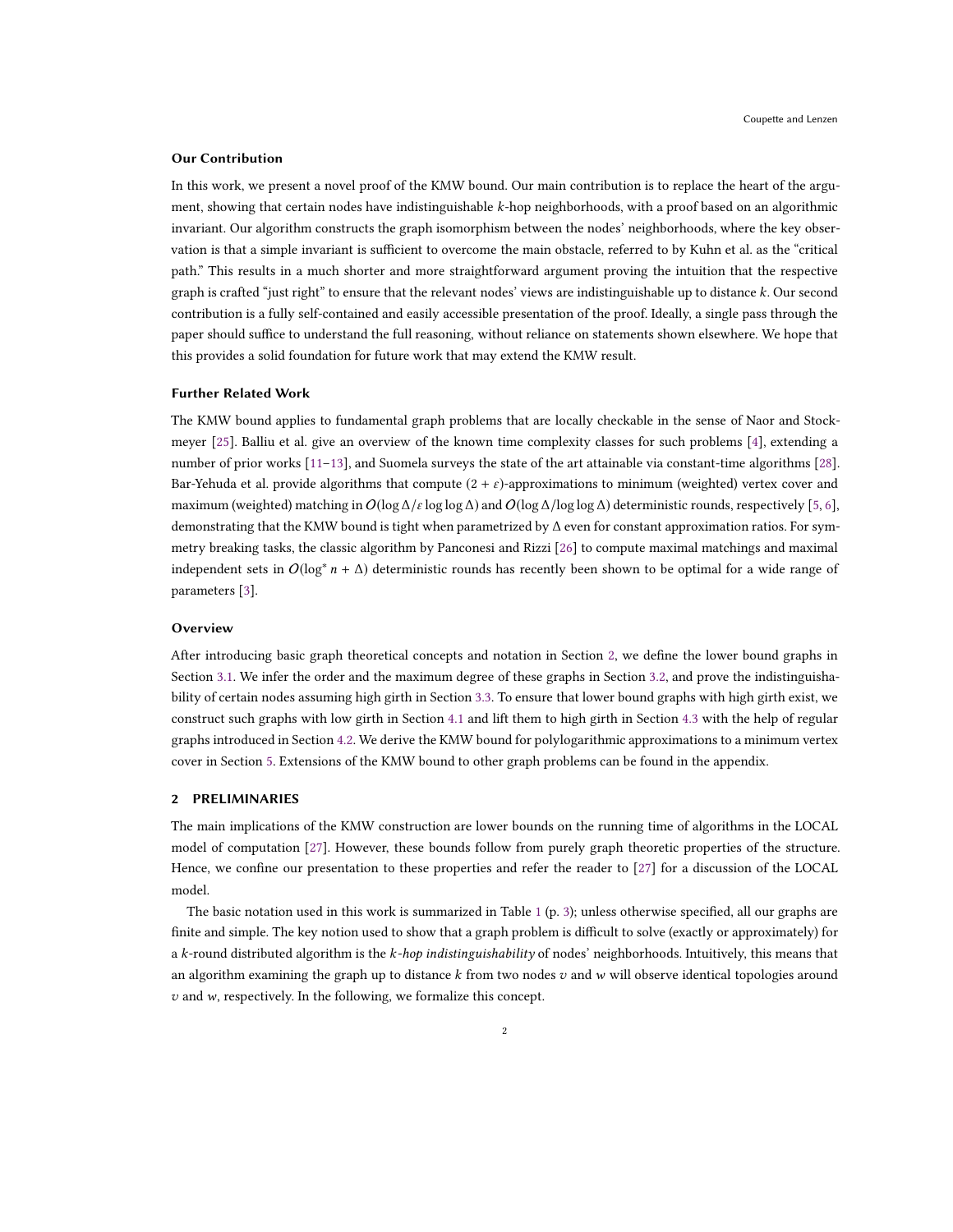#### Our Contribution

In this work, we present a novel proof of the KMW bound. Our main contribution is to replace the heart of the argument, showing that certain nodes have indistinguishable k-hop neighborhoods, with a proof based on an algorithmic invariant. Our algorithm constructs the graph isomorphism between the nodes' neighborhoods, where the key observation is that a simple invariant is sufficient to overcome the main obstacle, referred to by Kuhn et al. as the "critical path." This results in a much shorter and more straightforward argument proving the intuition that the respective graph is crafted "just right" to ensure that the relevant nodes' views are indistinguishable up to distance k. Our second contribution is a fully self-contained and easily accessible presentation of the proof. Ideally, a single pass through the paper should suffice to understand the full reasoning, without reliance on statements shown elsewhere. We hope that this provides a solid foundation for future work that may extend the KMW result.

#### Further Related Work

The KMW bound applies to fundamental graph problems that are locally checkable in the sense of Naor and Stockmeyer [\[25](#page-16-6)]. Balliu et al. give an overview of the known time complexity classes for such problems [\[4](#page-16-15)], extending a number of prior works [\[11](#page-16-16)[–13\]](#page-16-17), and Suomela surveys the state of the art attainable via constant-time algorithms [\[28\]](#page-16-18). Bar-Yehuda et al. provide algorithms that compute  $(2 + \varepsilon)$ -approximations to minimum (weighted) vertex cover and maximum (weighted) matching in  $O(\log \Delta/\epsilon \log \log \Delta)$  and  $O(\log \Delta/\log \log \Delta)$  deterministic rounds, respectively [\[5,](#page-16-19) [6](#page-16-13)], demonstrating that the KMW bound is tight when parametrized by ∆ even for constant approximation ratios. For symmetry breaking tasks, the classic algorithm by Panconesi and Rizzi [\[26\]](#page-16-20) to compute maximal matchings and maximal independent sets in  $O(\log^* n + \Delta)$  deterministic rounds has recently been shown to be optimal for a wide range of parameters [\[3\]](#page-16-8).

## **Overview**

After introducing basic graph theoretical concepts and notation in Section [2,](#page-1-0) we define the lower bound graphs in Section [3.1.](#page-3-0) We infer the order and the maximum degree of these graphs in Section [3.2,](#page-4-0) and prove the indistinguishability of certain nodes assuming high girth in Section [3.3.](#page-7-0) To ensure that lower bound graphs with high girth exist, we construct such graphs with low girth in Section [4.1](#page-12-0) and lift them to high girth in Section [4.3](#page-14-0) with the help of regular graphs introduced in Section [4.2.](#page-12-1) We derive the KMW bound for polylogarithmic approximations to a minimum vertex cover in Section [5.](#page-15-0) Extensions of the KMW bound to other graph problems can be found in the appendix.

#### <span id="page-1-0"></span>2 PRELIMINARIES

The main implications of the KMW construction are lower bounds on the running time of algorithms in the LOCAL model of computation [\[27](#page-16-21)]. However, these bounds follow from purely graph theoretic properties of the structure. Hence, we confine our presentation to these properties and refer the reader to [\[27\]](#page-16-21) for a discussion of the LOCAL model.

The basic notation used in this work is summarized in Table [1](#page-2-0) (p. [3\)](#page-2-0); unless otherwise specified, all our graphs are finite and simple. The key notion used to show that a graph problem is difficult to solve (exactly or approximately) for a k-round distributed algorithm is the k-hop indistinguishability of nodes' neighborhoods. Intuitively, this means that an algorithm examining the graph up to distance  $k$  from two nodes  $v$  and  $w$  will observe identical topologies around  $v$  and  $w$ , respectively. In the following, we formalize this concept.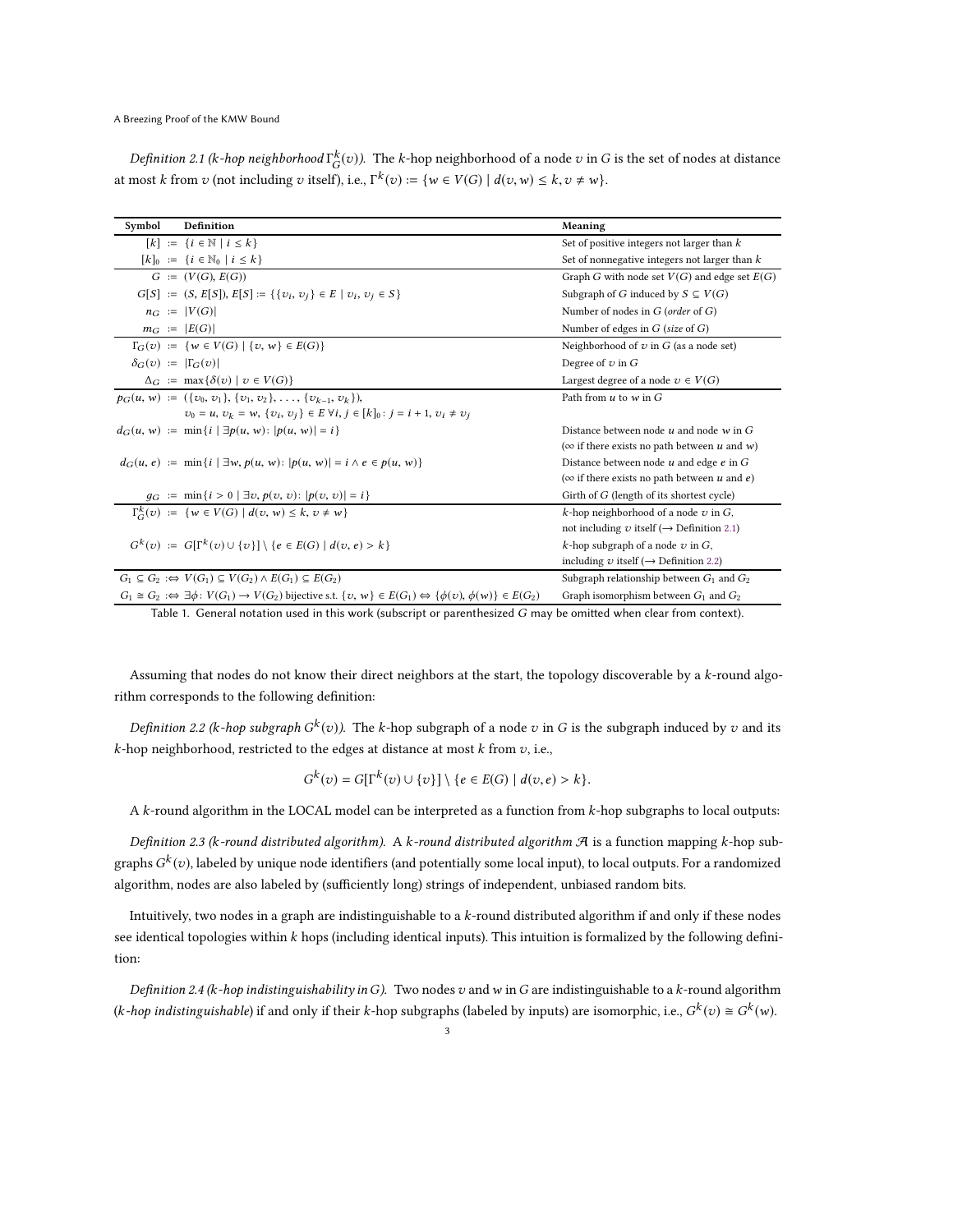<span id="page-2-1"></span>Definition 2.1 (k-hop neighborhood  $\Gamma^k_G(v)$ ). The k-hop neighborhood of a node  $v$  in  $G$  is the set of nodes at distance at most k from  $v$  (not including  $v$  itself), i.e.,  $\Gamma^k(v) := \{ w \in V(G) \mid d(v, w) \leq k, v \neq w \}.$ 

<span id="page-2-0"></span>

| Symbol                                                                                                             | Definition                                                                                                                                              | Meaning                                                |  |
|--------------------------------------------------------------------------------------------------------------------|---------------------------------------------------------------------------------------------------------------------------------------------------------|--------------------------------------------------------|--|
|                                                                                                                    | $[k] := \{i \in \mathbb{N} \mid i \leq k\}$                                                                                                             | Set of positive integers not larger than $k$           |  |
|                                                                                                                    | $[k]_0 := \{i \in \mathbb{N}_0 \mid i \leq k\}$                                                                                                         | Set of nonnegative integers not larger than $k$        |  |
|                                                                                                                    | $G := (V(G), E(G))$                                                                                                                                     | Graph G with node set $V(G)$ and edge set $E(G)$       |  |
|                                                                                                                    | $G[S] := (S, E[S]), E[S] := \{\{v_i, v_j\} \in E \mid v_i, v_j \in S\}$                                                                                 | Subgraph of G induced by $S \subseteq V(G)$            |  |
|                                                                                                                    | $n_G :=  V(G) $                                                                                                                                         | Number of nodes in $G$ (order of $G$ )                 |  |
|                                                                                                                    | $m_G :=  E(G) $                                                                                                                                         | Number of edges in $G$ (size of $G$ )                  |  |
|                                                                                                                    | $\Gamma_G(v) := \{ w \in V(G) \mid \{ v, w \} \in E(G) \}$                                                                                              | Neighborhood of $v$ in $G$ (as a node set)             |  |
| $\delta_G(v) :=  \Gamma_G(v) $                                                                                     |                                                                                                                                                         | Degree of $v$ in $G$                                   |  |
|                                                                                                                    | $\Delta_G := \max \{ \delta(v) \mid v \in V(G) \}$                                                                                                      | Largest degree of a node $v \in V(G)$                  |  |
|                                                                                                                    | $p_G(u, w) := (\{v_0, v_1\}, \{v_1, v_2\}, \ldots, \{v_{k-1}, v_k\}),$                                                                                  | Path from $u$ to $w$ in $G$                            |  |
|                                                                                                                    | $v_0 = u$ , $v_k = w$ , $\{v_i, v_j\} \in E \forall i, j \in [k]_0 : j = i + 1, v_i \neq v_j$                                                           |                                                        |  |
|                                                                                                                    | $d_G(u, w) := \min\{i \mid \exists p(u, w) :  p(u, w)  = i\}$                                                                                           | Distance between node $u$ and node $w$ in $G$          |  |
|                                                                                                                    |                                                                                                                                                         | ( $\infty$ if there exists no path between u and w)    |  |
|                                                                                                                    | $d_G(u, e) := \min\{i \mid \exists w, p(u, w):  p(u, w)  = i \land e \in p(u, w)\}\$                                                                    | Distance between node $u$ and edge $e$ in $G$          |  |
|                                                                                                                    |                                                                                                                                                         | ( $\infty$ if there exists no path between u and e)    |  |
|                                                                                                                    | $g_G := \min\{i > 0 \mid \exists v, p(v, v):  p(v, v)  = i\}$                                                                                           | Girth of G (length of its shortest cycle)              |  |
|                                                                                                                    | $\Gamma_{\!\!G}^k(v) := \{ w \in V(G) \mid d(v, w) \leq k, v \neq w \}$                                                                                 | k-hop neighborhood of a node $v$ in $G$ ,              |  |
|                                                                                                                    |                                                                                                                                                         | not including v itself ( $\rightarrow$ Definition 2.1) |  |
|                                                                                                                    | $G^k(v) := G[\Gamma^k(v) \cup \{v\}] \setminus \{e \in E(G) \mid d(v, e) > k\}$                                                                         | k-hop subgraph of a node $v$ in $G$ ,                  |  |
|                                                                                                                    |                                                                                                                                                         | including v itself ( $\rightarrow$ Definition 2.2)     |  |
|                                                                                                                    | $G_1 \subseteq G_2 : \Leftrightarrow V(G_1) \subseteq V(G_2) \wedge E(G_1) \subseteq E(G_2)$                                                            | Subgraph relationship between $G_1$ and $G_2$          |  |
|                                                                                                                    | $G_1 \cong G_2 : \Leftrightarrow \exists \phi : V(G_1) \to V(G_2)$ bijective s.t. $\{v, w\} \in E(G_1) \Leftrightarrow \{\phi(v), \phi(w)\} \in E(G_2)$ | Graph isomorphism between $G_1$ and $G_2$              |  |
| Table 1. General notation used in this work (subscript or parenthesized G may be omitted when clear from context). |                                                                                                                                                         |                                                        |  |

Assuming that nodes do not know their direct neighbors at the start, the topology discoverable by a k-round algorithm corresponds to the following definition:

<span id="page-2-2"></span>Definition 2.2 (k-hop subgraph  $G^k(v)$ ). The k-hop subgraph of a node  $v$  in  $G$  is the subgraph induced by  $v$  and its  $k$ -hop neighborhood, restricted to the edges at distance at most  $k$  from  $v$ , i.e.,

$$
G^{k}(v) = G[\Gamma^{k}(v) \cup \{v\}] \setminus \{e \in E(G) \mid d(v, e) > k\}.
$$

A k-round algorithm in the LOCAL model can be interpreted as a function from k-hop subgraphs to local outputs:

Definition 2.3 (k-round distributed algorithm). A k-round distributed algorithm  $\mathcal A$  is a function mapping k-hop subgraphs  $G^k(v)$ , labeled by unique node identifiers (and potentially some local input), to local outputs. For a randomized algorithm, nodes are also labeled by (sufficiently long) strings of independent, unbiased random bits.

Intuitively, two nodes in a graph are indistinguishable to a k-round distributed algorithm if and only if these nodes see identical topologies within  $k$  hops (including identical inputs). This intuition is formalized by the following definition:

<span id="page-2-3"></span>Definition 2.4 (k-hop indistinguishability in G). Two nodes v and w in G are indistinguishable to a k-round algorithm (*k*-hop indistinguishable) if and only if their *k*-hop subgraphs (labeled by inputs) are isomorphic, i.e.,  $G^k(v) \cong G^k(w)$ .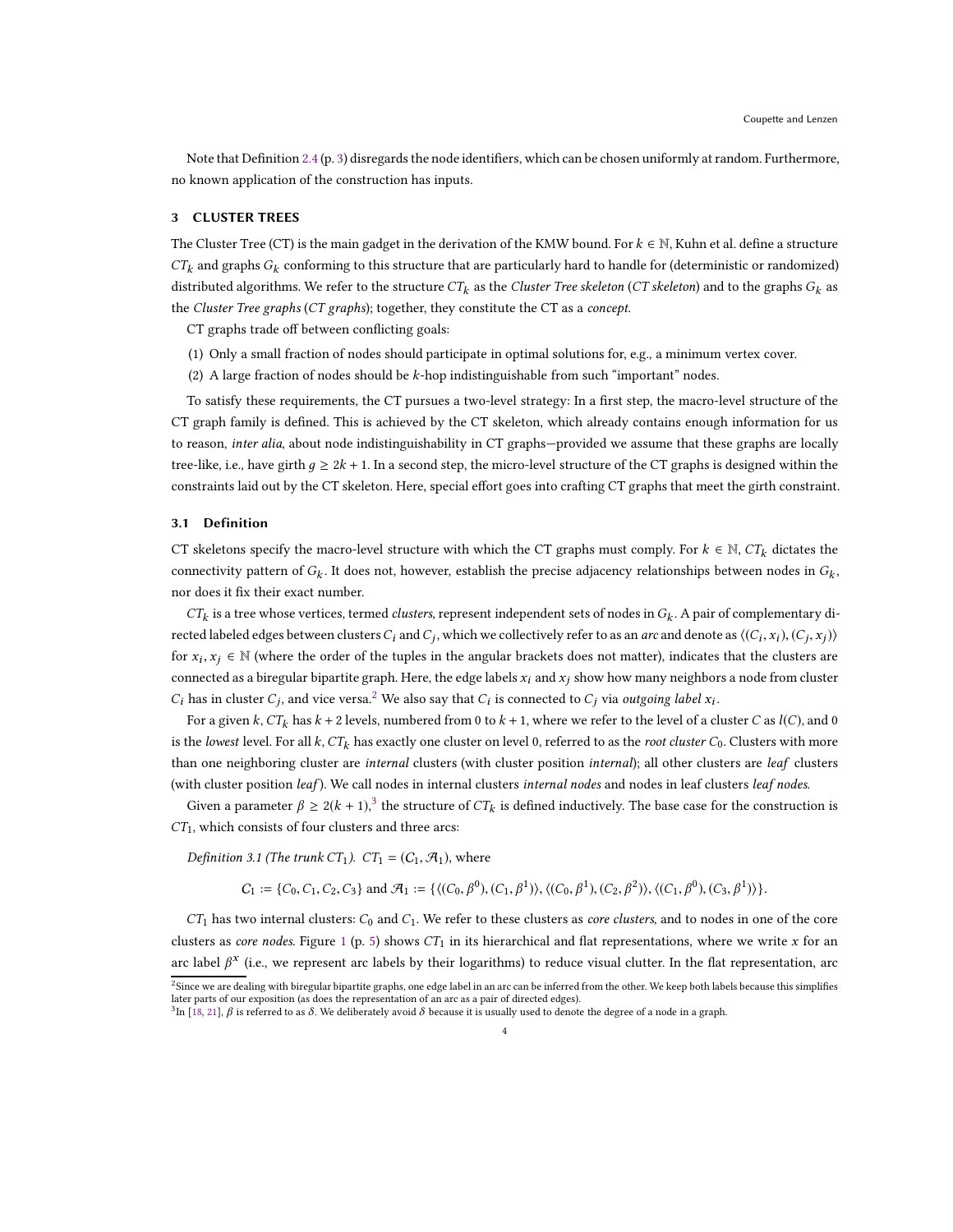Note that Definition [2.4](#page-2-3) (p. [3\)](#page-2-3) disregards the node identifiers, which can be chosen uniformly at random. Furthermore, no known application of the construction has inputs.

# 3 CLUSTER TREES

The Cluster Tree (CT) is the main gadget in the derivation of the KMW bound. For  $k \in \mathbb{N}$ , Kuhn et al. define a structure  $CT_k$  and graphs  $G_k$  conforming to this structure that are particularly hard to handle for (deterministic or randomized) distributed algorithms. We refer to the structure  $CT_k$  as the Cluster Tree skeleton (CT skeleton) and to the graphs  $G_k$  as the Cluster Tree graphs (CT graphs); together, they constitute the CT as a concept.

CT graphs trade off between conflicting goals:

- (1) Only a small fraction of nodes should participate in optimal solutions for, e.g., a minimum vertex cover.
- (2) A large fraction of nodes should be  $k$ -hop indistinguishable from such "important" nodes.

To satisfy these requirements, the CT pursues a two-level strategy: In a first step, the macro-level structure of the CT graph family is defined. This is achieved by the CT skeleton, which already contains enough information for us to reason, inter alia, about node indistinguishability in CT graphs-provided we assume that these graphs are locally tree-like, i.e., have girth  $q \ge 2k + 1$ . In a second step, the micro-level structure of the CT graphs is designed within the constraints laid out by the CT skeleton. Here, special effort goes into crafting CT graphs that meet the girth constraint.

## <span id="page-3-0"></span>3.1 Definition

CT skeletons specify the macro-level structure with which the CT graphs must comply. For  $k \in \mathbb{N}$ ,  $CT_k$  dictates the connectivity pattern of  $G_k$ . It does not, however, establish the precise adjacency relationships between nodes in  $G_k$ , nor does it fix their exact number.

 $CT_k$  is a tree whose vertices, termed *clusters*, represent independent sets of nodes in  $G_k$ . A pair of complementary directed labeled edges between clusters  $C_i$  and  $C_j$ , which we collectively refer to as an *arc* and denote as  $\langle (C_i,x_i),(C_j,x_j)\rangle$ for  $x_i, x_j \in \mathbb{N}$  (where the order of the tuples in the angular brackets does not matter), indicates that the clusters are connected as a biregular bipartite graph. Here, the edge labels  $x_i$  and  $x_j$  show how many neighbors a node from cluster  $C_i$  has in cluster  $C_j$ , and vice versa.<sup>[2](#page-3-1)</sup> We also say that  $C_i$  is connected to  $C_j$  via outgoing label  $x_i$ .

For a given k,  $CT_k$  has  $k + 2$  levels, numbered from 0 to  $k + 1$ , where we refer to the level of a cluster C as  $l(C)$ , and 0 is the lowest level. For all k,  $CT_k$  has exactly one cluster on level 0, referred to as the root cluster  $C_0$ . Clusters with more than one neighboring cluster are internal clusters (with cluster position internal); all other clusters are leaf clusters (with cluster position leaf). We call nodes in internal clusters internal nodes and nodes in leaf clusters leaf nodes.

Given a parameter  $\beta \ge 2(k + 1)$ ,<sup>[3](#page-3-2)</sup> the structure of  $CT_k$  is defined inductively. The base case for the construction is  $CT_1$ , which consists of four clusters and three arcs:

Definition 3.1 (The trunk CT<sub>1</sub>). CT<sub>1</sub> = (C<sub>1</sub>,  $\mathcal{A}_1$ ), where

 $C_1 := \{C_0, C_1, C_2, C_3\}$  and  $\mathcal{A}_1 := \{ \langle (C_0, \beta^0), (C_1, \beta^1) \rangle, \langle (C_0, \beta^1), (C_2, \beta^2) \rangle, \langle (C_1, \beta^0), (C_3, \beta^1) \rangle \}.$ 

 $CT_1$  has two internal clusters:  $C_0$  and  $C_1$ . We refer to these clusters as *core clusters*, and to nodes in one of the core clusters as core nodes. Figure [1](#page-4-1) (p. [5\)](#page-4-1) shows  $CT_1$  in its hierarchical and flat representations, where we write x for an arc label  $\beta^x$  (i.e., we represent arc labels by their logarithms) to reduce visual clutter. In the flat representation, arc

<sup>&</sup>lt;sup>2</sup>Since we are dealing with biregular bipartite graphs, one edge label in an arc can be inferred from the other. We keep both labels because this simplifies<br>later parts of our exposition (as does the representation of an

<span id="page-3-2"></span><span id="page-3-1"></span> $^3$ In [\[18,](#page-16-0) [21\]](#page-16-14),  $\beta$  is referred to as  $\delta$ . We deliberately avoid  $\delta$  because it is usually used to denote the degree of a node in a graph.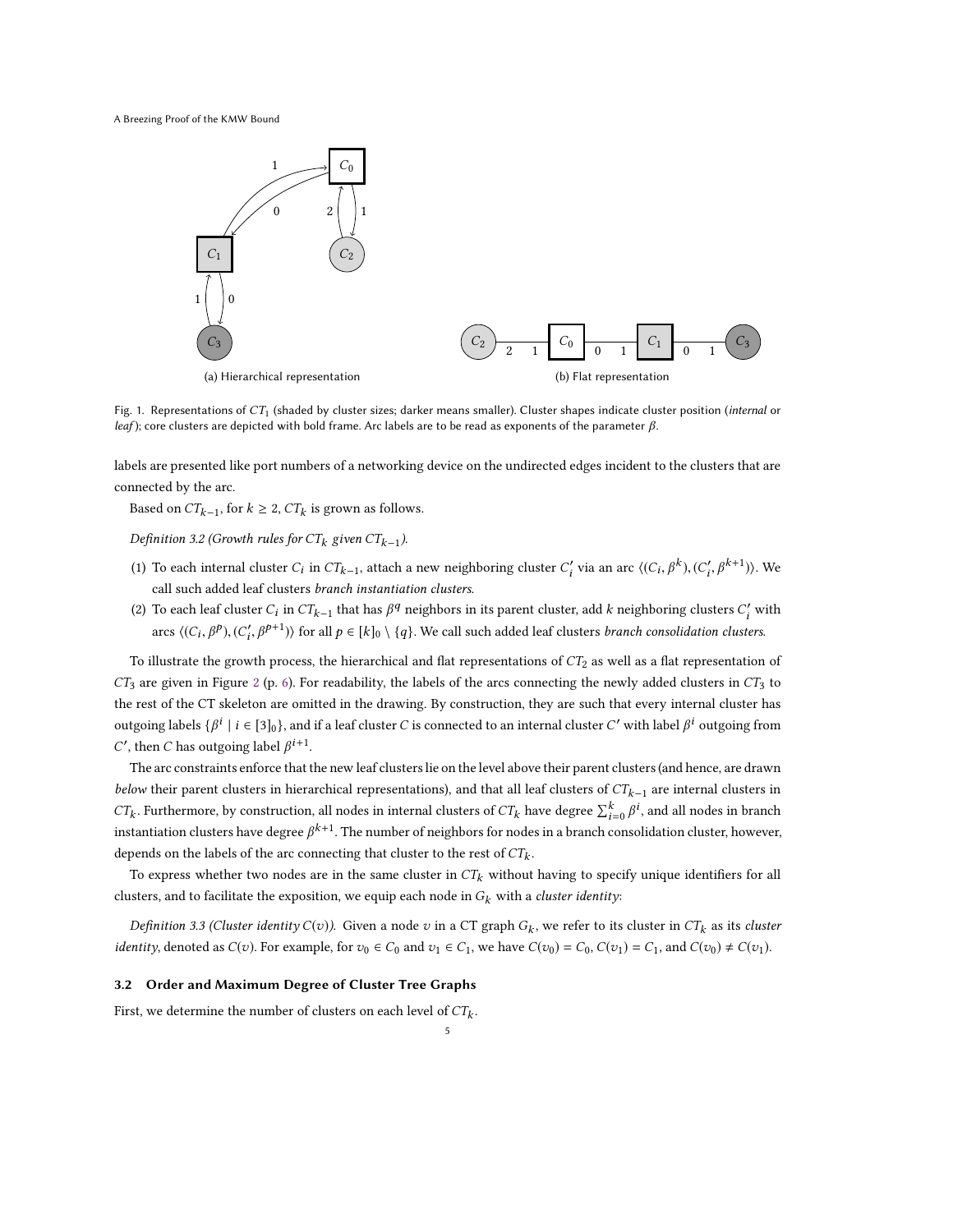<span id="page-4-1"></span>A Breezing Proof of the KMW Bound



Fig. 1. Representations of  $CT_1$  (shaded by cluster sizes; darker means smaller). Cluster shapes indicate cluster position (internal or leaf); core clusters are depicted with bold frame. Arc labels are to be read as exponents of the parameter  $\beta$ .

labels are presented like port numbers of a networking device on the undirected edges incident to the clusters that are connected by the arc.

Based on  $CT_{k-1}$ , for  $k \geq 2$ ,  $CT_k$  is grown as follows.

<span id="page-4-2"></span>Definition 3.2 (Growth rules for  $CT_k$  given  $CT_{k-1}$ ).

- (1) To each internal cluster  $C_i$  in  $CT_{k-1}$ , attach a new neighboring cluster  $C'_i$  via an arc  $\langle (C_i, \beta^k), (C'_i, \beta^{k+1}) \rangle$ . We call such added leaf clusters branch instantiation clusters.
- (2) To each leaf cluster  $C_i$  in  $CT_{k-1}$  that has  $\beta^q$  neighbors in its parent cluster, add k neighboring clusters  $C'_i$  with arcs  $\langle (C_i, \beta^p), (C'_i, \beta^{p+1}) \rangle$  for all  $p \in [k]_0 \setminus \{q\}$ . We call such added leaf clusters *branch consolidation clusters*.

To illustrate the growth process, the hierarchical and flat representations of  $CT_2$  as well as a flat representation of  $CT_3$  are given in Figure [2](#page-5-0) (p. [6\)](#page-5-0). For readability, the labels of the arcs connecting the newly added clusters in  $CT_3$  to the rest of the CT skeleton are omitted in the drawing. By construction, they are such that every internal cluster has outgoing labels  $\{\beta^i \mid i \in [3]_0\}$ , and if a leaf cluster C is connected to an internal cluster C' with label  $\beta^i$  outgoing from C', then C has outgoing label  $\beta^{i+1}$ .

The arc constraints enforce that the new leaf clusters lie on the level above their parent clusters (and hence, are drawn below their parent clusters in hierarchical representations), and that all leaf clusters of  $CT_{k-1}$  are internal clusters in  $CT_k$ . Furthermore, by construction, all nodes in internal clusters of  $CT_k$  have degree  $\sum_{i=0}^k \beta^i$ , and all nodes in branch instantiation clusters have degree  $\beta^{k+1}$ . The number of neighbors for nodes in a branch consolidation cluster, however, depends on the labels of the arc connecting that cluster to the rest of  $CT_{k}$ .

To express whether two nodes are in the same cluster in  $CT_k$  without having to specify unique identifiers for all clusters, and to facilitate the exposition, we equip each node in  $G_k$  with a cluster identity:

*Definition 3.3 (Cluster identity C*(*v*)). Given a node *v* in a CT graph  $G_k$ , we refer to its cluster in  $CT_k$  as its *cluster identity*, denoted as  $C(v)$ . For example, for  $v_0 \in C_0$  and  $v_1 \in C_1$ , we have  $C(v_0) = C_0$ ,  $C(v_1) = C_1$ , and  $C(v_0) \neq C(v_1)$ .

## <span id="page-4-0"></span>3.2 Order and Maximum Degree of Cluster Tree Graphs

First, we determine the number of clusters on each level of  $CT_{k}$ .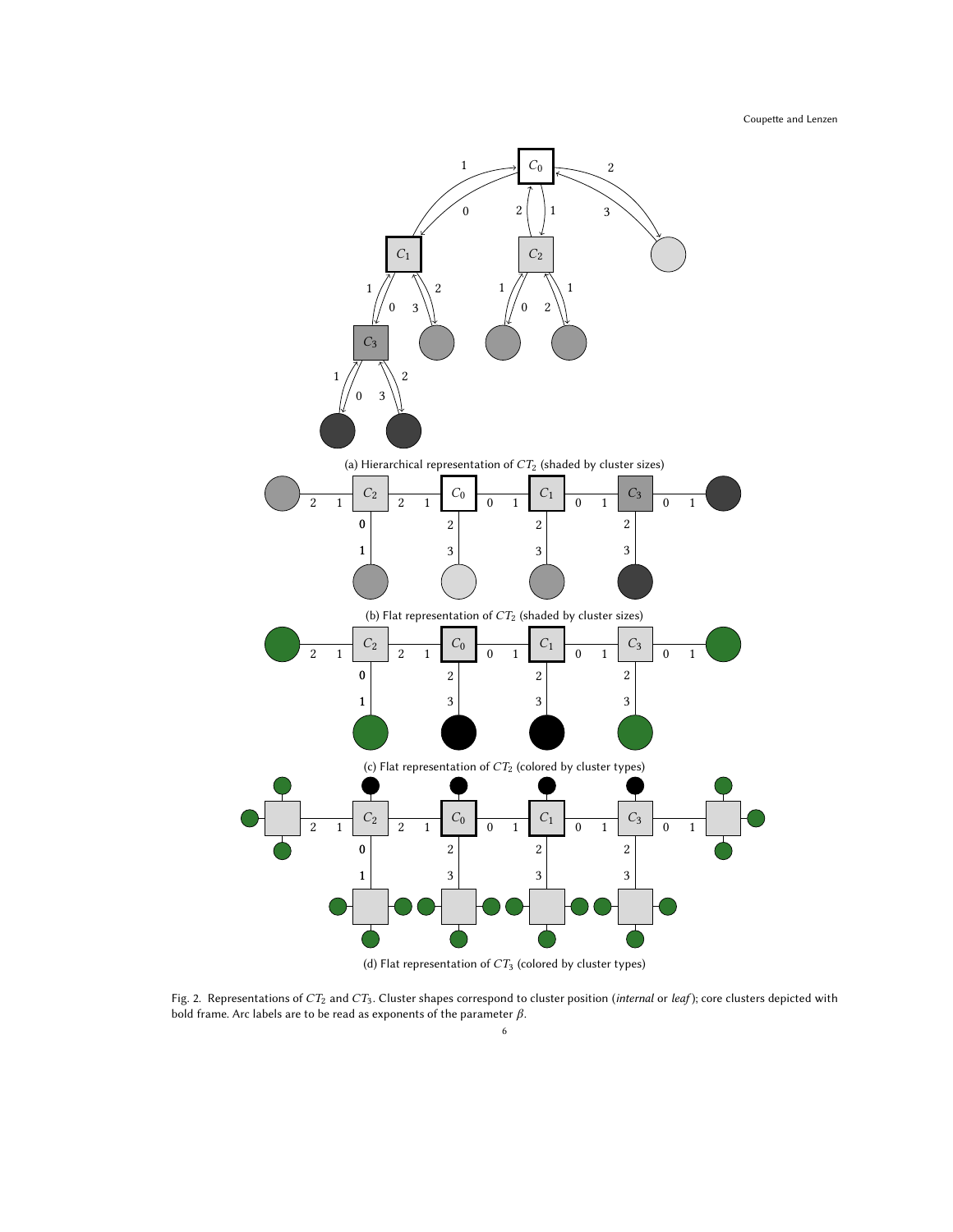Coupette and Lenzen

<span id="page-5-0"></span>

(d) Flat representation of  $CT_3$  (colored by cluster types)

Fig. 2. Representations of  $CT_2$  and  $CT_3$ . Cluster shapes correspond to cluster position (internal or leaf); core clusters depicted with bold frame. Arc labels are to be read as exponents of the parameter  $\beta$ .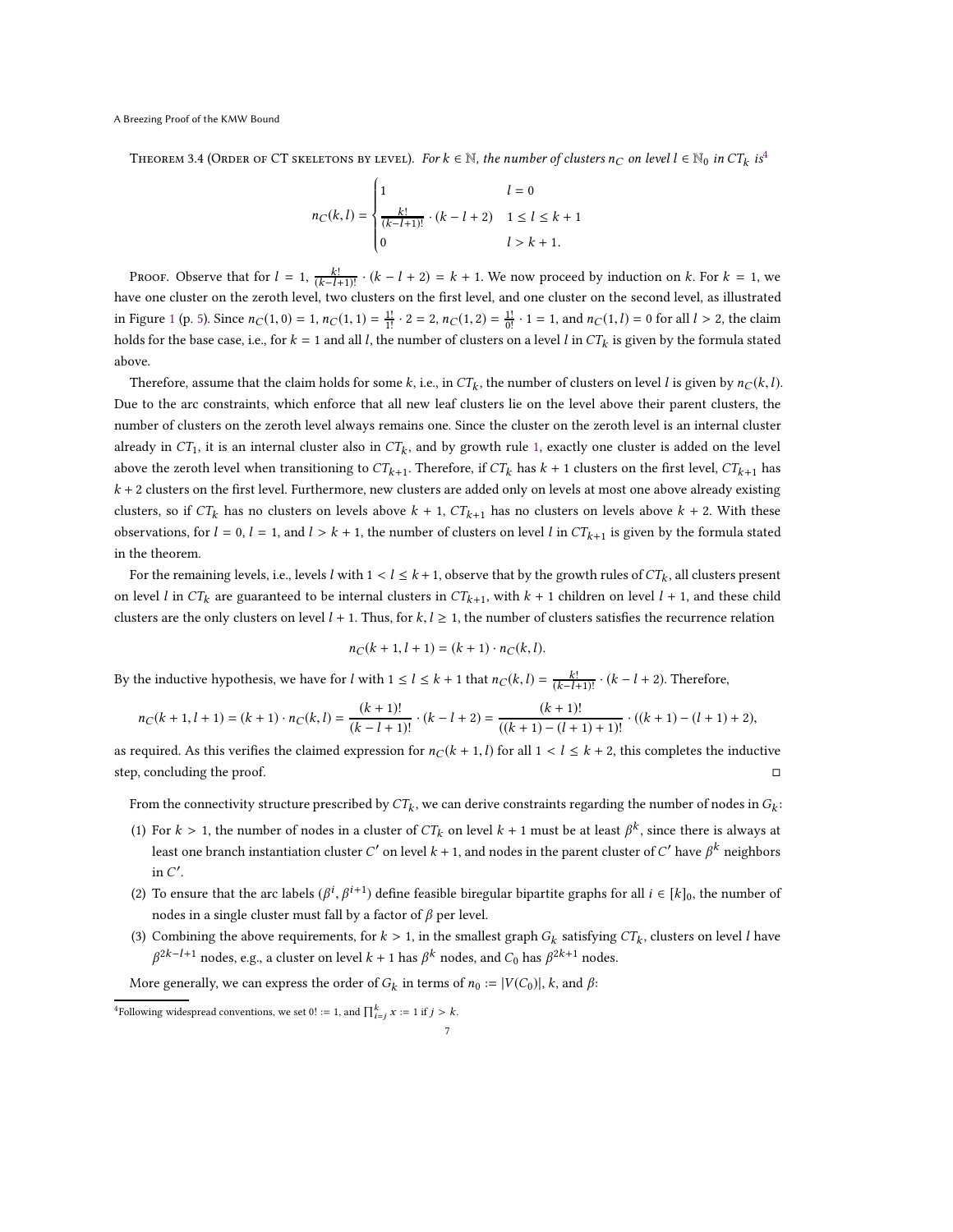<span id="page-6-1"></span>THEOREM 3.[4](#page-6-0) (ORDER OF CT SKELETONS BY LEVEL). For  $k \in \mathbb{N}$ , the number of clusters  $n_C$  on level  $l \in \mathbb{N}_0$  in  $CT_k$  is<sup>4</sup>

$$
n_C(k, l) = \begin{cases} 1 & l = 0 \\ \frac{k!}{(k-l+1)!} \cdot (k-l+2) & 1 \le l \le k+1 \\ 0 & l > k+1. \end{cases}
$$

PROOF. Observe that for  $l = 1$ ,  $\frac{k!}{(k-l+1)!} \cdot (k-l+2) = k+1$ . We now proceed by induction on k. For  $k = 1$ , we have one cluster on the zeroth level, two clusters on the first level, and one cluster on the second level, as illustrated in Figure [1](#page-4-1) (p. [5\)](#page-4-1). Since  $n_C(1, 0) = 1$ ,  $n_C(1, 1) = \frac{1!}{1!} \cdot 2 = 2$ ,  $n_C(1, 2) = \frac{1!}{0!} \cdot 1 = 1$ , and  $n_C(1, l) = 0$  for all  $l > 2$ , the claim holds for the base case, i.e., for  $k = 1$  and all l, the number of clusters on a level l in  $CT_k$  is given by the formula stated above.

Therefore, assume that the claim holds for some  $k$ , i.e., in  $CT_k$ , the number of clusters on level  $l$  is given by  $n_C(k, l)$ . Due to the arc constraints, which enforce that all new leaf clusters lie on the level above their parent clusters, the number of clusters on the zeroth level always remains one. Since the cluster on the zeroth level is an internal cluster already in CT<sub>1</sub>, it is an internal cluster also in CT<sub>k</sub>, and by growth rule [1,](#page-4-2) exactly one cluster is added on the level above the zeroth level when transitioning to  $CT_{k+1}$ . Therefore, if  $CT_k$  has  $k + 1$  clusters on the first level,  $CT_{k+1}$  has  $k + 2$  clusters on the first level. Furthermore, new clusters are added only on levels at most one above already existing clusters, so if  $CT_k$  has no clusters on levels above  $k + 1$ ,  $CT_{k+1}$  has no clusters on levels above  $k + 2$ . With these observations, for  $l = 0$ ,  $l = 1$ , and  $l > k + 1$ , the number of clusters on level l in  $CT_{k+1}$  is given by the formula stated in the theorem.

For the remaining levels, i.e., levels l with  $1 < l \leq k + 1$ , observe that by the growth rules of  $CT_k$ , all clusters present on level l in  $CT_k$  are guaranteed to be internal clusters in  $CT_{k+1}$ , with  $k + 1$  children on level  $l + 1$ , and these child clusters are the only clusters on level  $l + 1$ . Thus, for  $k, l \geq 1$ , the number of clusters satisfies the recurrence relation

$$
n_C(k + 1, l + 1) = (k + 1) \cdot n_C(k, l).
$$

By the inductive hypothesis, we have for l with  $1 \le l \le k + 1$  that  $n_C(k, l) = \frac{k!}{(k-l+1)!} \cdot (k-l+2)$ . Therefore,

$$
n_C(k+1,l+1)=(k+1)\cdot n_C(k,l)=\frac{(k+1)!}{(k-l+1)!}\cdot (k-l+2)=\frac{(k+1)!}{((k+1)-(l+1)+1)!}\cdot ((k+1)-(l+1)+2),
$$

as required. As this verifies the claimed expression for  $nC(k + 1, l)$  for all  $1 < l \le k + 2$ , this completes the inductive step, concluding the proof.

From the connectivity structure prescribed by  $CT_k$ , we can derive constraints regarding the number of nodes in  $G_k$ :

- (1) For  $k > 1$ , the number of nodes in a cluster of  $CT_k$  on level  $k + 1$  must be at least  $\beta^k$ , since there is always at least one branch instantiation cluster  $C'$  on level  $k+1,$  and nodes in the parent cluster of  $C'$  have  $\beta^k$  neighbors in  $C'$ .
- (2) To ensure that the arc labels  $(\beta^i, \beta^{i+1})$  define feasible biregular bipartite graphs for all  $i \in [k]_0$ , the number of nodes in a single cluster must fall by a factor of  $\beta$  per level.
- (3) Combining the above requirements, for  $k > 1$ , in the smallest graph  $G_k$  satisfying  $CT_k$ , clusters on level l have  $\beta^{2k-l+1}$  nodes, e.g., a cluster on level  $k+1$  has  $\beta^k$  nodes, and  $C_0$  has  $\beta^{2k+1}$  nodes.

More generally, we can express the order of  $G_k$  in terms of  $n_0 := |V(C_0)|$ , k, and  $\beta$ :

<span id="page-6-0"></span><sup>&</sup>lt;sup>4</sup>Following widespread conventions, we set  $0! := 1$ , and  $\prod_{i=j}^{k} x := 1$  if  $j > k$ .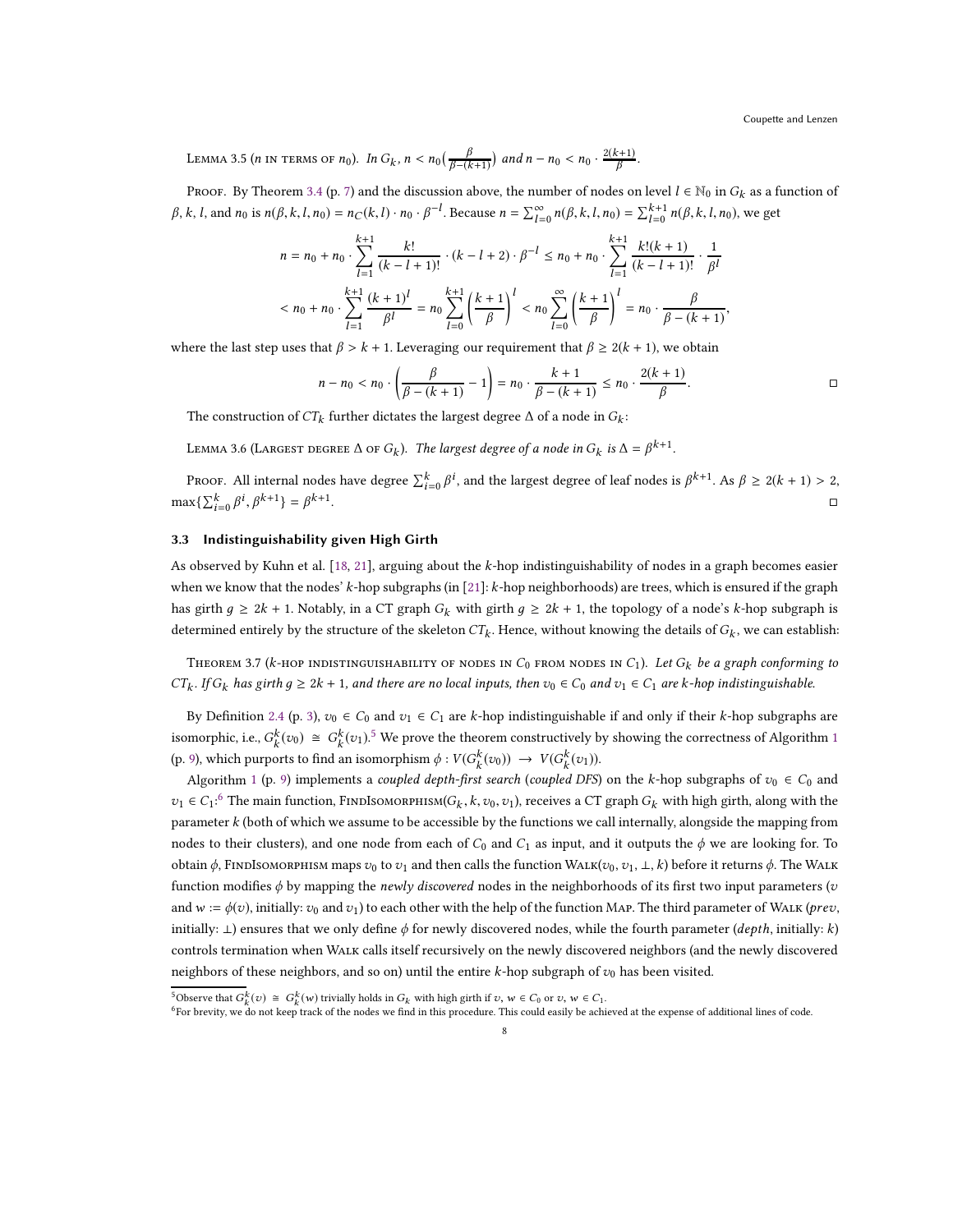Coupette and Lenzen

<span id="page-7-5"></span>LEMMA 3.5 (*n* in terms of *n*<sub>0</sub>). In  $G_k$ ,  $n < n_0(\frac{\beta}{\beta-(k+1)})$  and  $n - n_0 < n_0 \cdot \frac{2(k+1)}{\beta}$ .

PROOF. By Theorem [3.4](#page-6-1) (p. [7\)](#page-6-1) and the discussion above, the number of nodes on level  $l \in \mathbb{N}_0$  in  $G_k$  as a function of β, k, l, and n<sub>0</sub> is  $n(β, k, l, n_0) = n_C(k, l) \cdot n_0 \cdot β^{-l}$ . Because  $n = \sum_{l=0}^{\infty} n(β, k, l, n_0) = \sum_{l=0}^{k+1} n(β, k, l, n_0)$ , we get

$$
n = n_0 + n_0 \cdot \sum_{l=1}^{k+1} \frac{k!}{(k-l+1)!} \cdot (k-l+2) \cdot \beta^{-l} \le n_0 + n_0 \cdot \sum_{l=1}^{k+1} \frac{k!(k+1)}{(k-l+1)!} \cdot \frac{1}{\beta^l}
$$
  

$$
< n_0 + n_0 \cdot \sum_{l=1}^{k+1} \frac{(k+1)^l}{\beta^l} = n_0 \sum_{l=0}^{k+1} \left(\frac{k+1}{\beta}\right)^l < n_0 \sum_{l=0}^{\infty} \left(\frac{k+1}{\beta}\right)^l = n_0 \cdot \frac{\beta}{\beta - (k+1)},
$$

where the last step uses that  $\beta > k + 1$ . Leveraging our requirement that  $\beta \ge 2(k + 1)$ , we obtain

$$
n - n_0 < n_0 \cdot \left(\frac{\beta}{\beta - (k+1)} - 1\right) = n_0 \cdot \frac{k+1}{\beta - (k+1)} \le n_0 \cdot \frac{2(k+1)}{\beta}.
$$

The construction of  $CT_k$  further dictates the largest degree  $\Delta$  of a node in  $G_k\colon$ 

<span id="page-7-4"></span>LEMMA 3.6 (LARGEST DEGREE  $\Delta$  OF  $G_k$ ). The largest degree of a node in  $G_k$  is  $\Delta = \beta^{k+1}$ .

Proof. All internal nodes have degree  $\sum_{i=0}^{k} \beta^i$ , and the largest degree of leaf nodes is  $\beta^{k+1}$ . As  $\beta \ge 2(k+1) > 2$ ,  $\max\{\sum_{i=0}^{k} \beta^{i}, \beta^{k+1}\} = \beta^{k+1}$ .<br>1980 - Paul Barbara, politikar eta biztanleria (h. 1908).<br>1980 - Johann John Barbara, politikar eta biztanleria (h. 1908).

# <span id="page-7-0"></span>3.3 Indistinguishability given High Girth

As observed by Kuhn et al. [\[18](#page-16-0), [21\]](#page-16-14), arguing about the k-hop indistinguishability of nodes in a graph becomes easier when we know that the nodes' k-hop subgraphs (in [\[21\]](#page-16-14): k-hop neighborhoods) are trees, which is ensured if the graph has girth  $q \ge 2k + 1$ . Notably, in a CT graph  $G_k$  with girth  $q \ge 2k + 1$ , the topology of a node's k-hop subgraph is determined entirely by the structure of the skeleton  $CT_k$ . Hence, without knowing the details of  $G_k$ , we can establish:

<span id="page-7-3"></span>THEOREM 3.7 (k-HOP INDISTINGUISHABILITY OF NODES IN  $C_0$  from nodes in  $C_1$ ). Let  $G_k$  be a graph conforming to  $CT_k$ . If  $G_k$  has girth  $g \geq 2k + 1$ , and there are no local inputs, then  $v_0 \in C_0$  and  $v_1 \in C_1$  are k-hop indistinguishable.

By Definition [2.4](#page-2-3) (p. [3\)](#page-2-3),  $v_0 \in C_0$  and  $v_1 \in C_1$  are k-hop indistinguishable if and only if their k-hop subgraphs are isomorphic, i.e.,  $G_k^k(v_0) \cong G_k^k(v_1)$  $G_k^k(v_0) \cong G_k^k(v_1)$  $G_k^k(v_0) \cong G_k^k(v_1)$ .<sup>[5](#page-7-1)</sup> We prove the theorem constructively by showing the correctness of Algorithm 1 (p. [9\)](#page-8-0), which purports to find an isomorphism  $\phi: V(G_k^k(v_0)) \to V(G_k^k(v_1)).$ 

Algorithm [1](#page-8-0) (p. [9\)](#page-8-0) implements a *coupled depth-first search* (*coupled DFS*) on the k-hop subgraphs of  $v_0 \in C_0$  and  $v_1$  ∈  $C_1$ :<sup>[6](#page-7-2)</sup> The main function, FINDISOMORPHISM( $G_k$ ,  $k$ ,  $v_0$ ,  $v_1$ ), receives a CT graph  $G_k$  with high girth, along with the parameter k (both of which we assume to be accessible by the functions we call internally, alongside the mapping from nodes to their clusters), and one node from each of  $C_0$  and  $C_1$  as input, and it outputs the  $\phi$  we are looking for. To obtain  $\phi$ , FINDISOMORPHISM maps  $v_0$  to  $v_1$  and then calls the function WALK( $v_0, v_1, \perp, k$ ) before it returns  $\phi$ . The WALK function modifies  $\phi$  by mapping the *newly discovered* nodes in the neighborhoods of its first two input parameters (*v* and  $w := \phi(v)$ , initially:  $v_0$  and  $v_1$ ) to each other with the help of the function MAP. The third parameter of WALK (prev, initially:  $\perp$ ) ensures that we only define  $\phi$  for newly discovered nodes, while the fourth parameter (depth, initially: k) controls termination when Walk calls itself recursively on the newly discovered neighbors (and the newly discovered neighbors of these neighbors, and so on) until the entire  $k$ -hop subgraph of  $v_0$  has been visited.

<sup>&</sup>lt;sup>5</sup>Observe that  $G_k^k(v) \cong G_k^k(w)$  trivially holds in  $G_k$  with high girth if  $v, w \in C_0$  or  $v, w \in C_1$ .

<span id="page-7-2"></span><span id="page-7-1"></span> $^6$ For brevity, we do not keep track of the nodes we find in this procedure. This could easily be achieved at the expense of additional lines of code.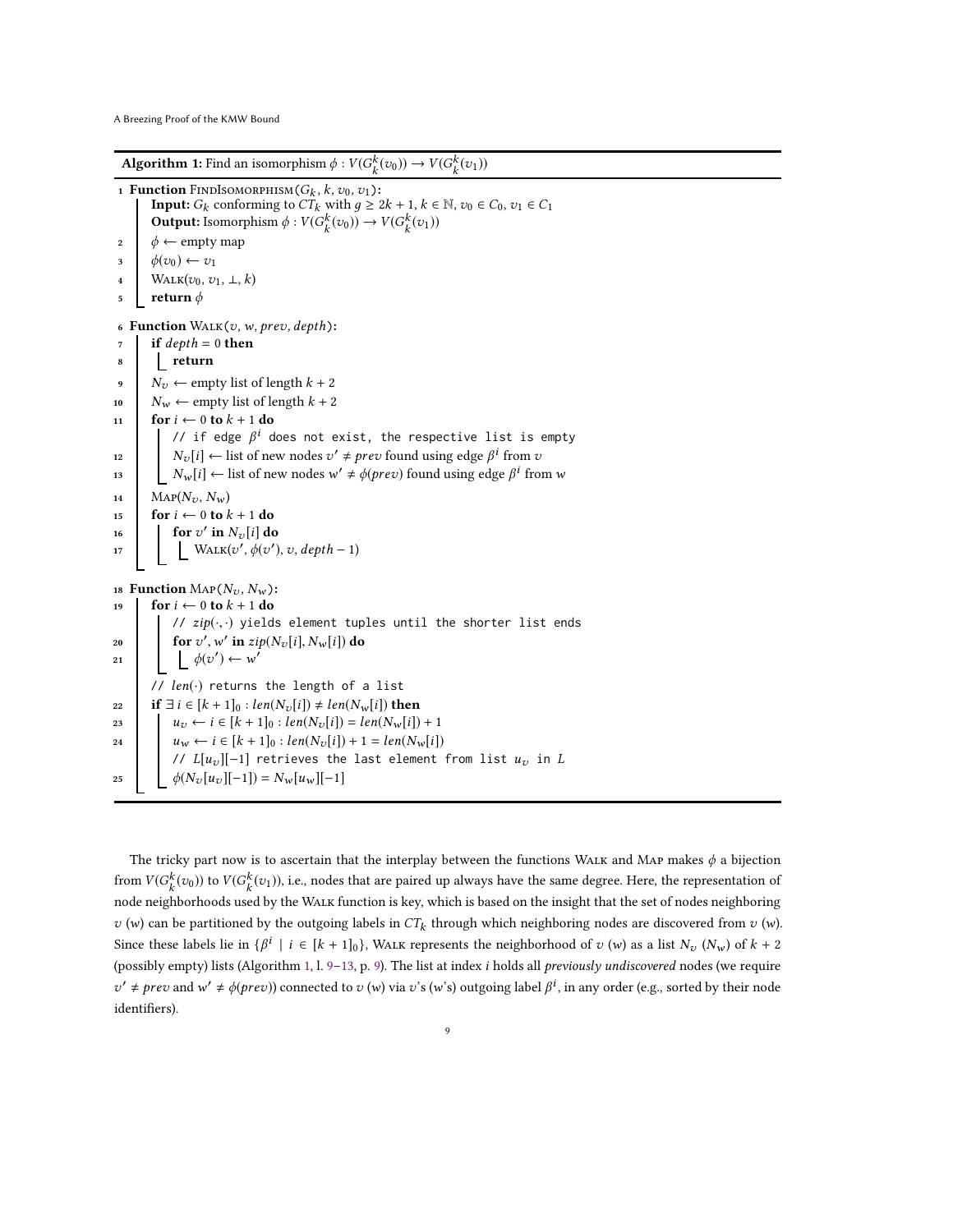**Algorithm 1:** Find an isomorphism  $\phi: V(G_k^k(v_0)) \to V(G_k^k(v_1))$ 

```
1 Function FindIsomorphism(G_k, k, v_0, v_1):
       Input: G_k conforming to CT_k with g \ge 2k + 1, k \in \mathbb{N}, v_0 \in C_0, v_1 \in C_1Output: Isomorphism \phi: V(G_k^k(v_0)) \to V(G_k^k(v_1))\phi \leftarrow \text{empty map}\phi(v_0) \leftarrow v_14 WALK(v_0, v_1, \perp, k)5 return \phi6 Function WALK(v, w, prev, depth):
 7 if depth = 0 then
 8 return
 9 N_v ← empty list of length k + 210 N_w \leftarrow empty list of length k + 211 for i \leftarrow 0 to k + 1 do
           // if edge \beta^i does not exist, the respective list is empty
12 \bigg| N_v[i] \leftarrow list of new nodes v' \neq prev found using edge \beta^i from v
13 \bigcup N_w[i] \leftarrow list of new nodes w' \neq \phi (prev) found using edge \beta^i from w
14 \text{MAP}(N_{\mathcal{U}}, N_{\mathcal{W}})15 for i \leftarrow 0 to k + 1 do<br>
16 for v' in N_v[i] do
16 for v' in N_v[i] do
17 WALK(v', \phi(v'), v, depth-1)18 Function \text{MAP}(N_{\nu}, N_{\nu}):
19 for i \leftarrow 0 to k + 1 do
           // zip(\cdot, \cdot) yields element tuples until the shorter list ends
20 for v', w' in zip(N_v[i], N_w[i]) do
21 \phi(v') \leftarrow w'// len(·) returns the length of a list
22 if \exists i \in [k+1]_0 : len(N_v[i]) \neq len(N_w[i]) then
23 u_v \leftarrow i \in [k+1]_0 : len(N_v[i]) = len(N_w[i]) + 124 u_w \leftarrow i \in [k+1]_0 : len(N_v[i]) + 1 = len(N_w[i])// L[u_v][-1] retrieves the last element from list u_v in L25 \phi(N_v[u_v][-1]) = N_w[u_w][-1]
```
<span id="page-8-7"></span><span id="page-8-6"></span><span id="page-8-5"></span><span id="page-8-4"></span><span id="page-8-0"></span>The tricky part now is to ascertain that the interplay between the functions WALK and MAP makes  $\phi$  a bijection from  $V(G_k^k(v_0))$  to  $V(G_k^k(v_1))$ , i.e., nodes that are paired up always have the same degree. Here, the representation of node neighborhoods used by the Walk function is key, which is based on the insight that the set of nodes neighboring  $v(w)$  can be partitioned by the outgoing labels in  $CT_k$  through which neighboring nodes are discovered from  $v(w)$ . Since these labels lie in  $\{\beta^i \mid i \in [k+1]_0\}$ , WALK represents the neighborhood of  $v(w)$  as a list  $N_v(N_w)$  of  $k+2$ (possibly empty) lists (Algorithm [1,](#page-8-0) l. [9](#page-8-1)[–13,](#page-8-2) p. [9\)](#page-8-0). The list at index i holds all previously undiscovered nodes (we require  $v' \neq \text{prev}$  and  $w' \neq \phi(\text{prev})$ ) connected to  $v(w)$  via  $v's(w's)$  outgoing label  $\beta^i$ , in any order (e.g., sorted by their node identifiers).

9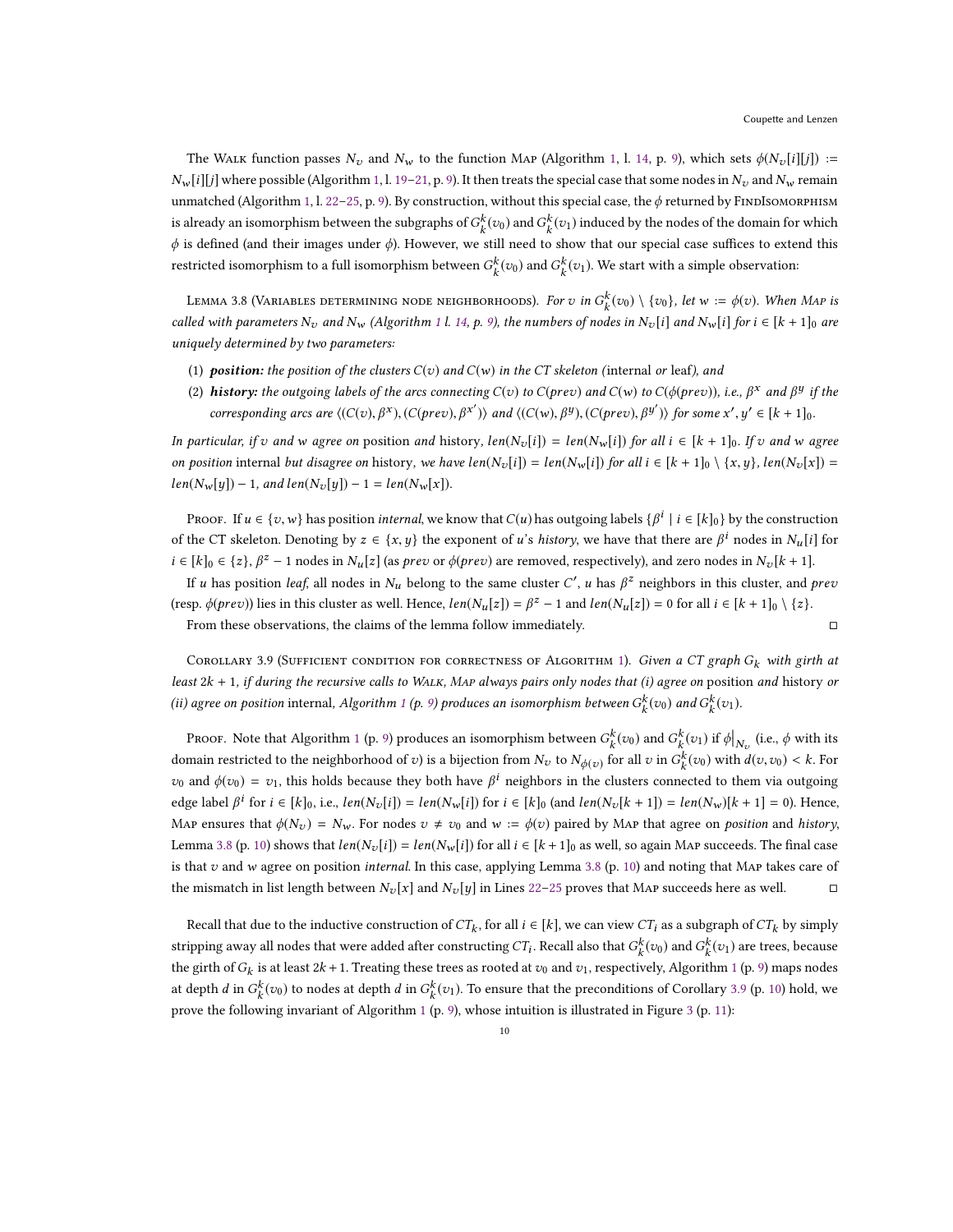The WALK function passes  $N_v$  and  $N_w$  to the function MAP (Algorithm [1,](#page-8-0) l. [14,](#page-8-3) p. [9\)](#page-8-0), which sets  $\phi(N_v[i][j]) :=$  $N_w[i][j]$  where possible (Algorithm [1,](#page-8-0) l. [19–](#page-8-4)[21,](#page-8-5) p. [9\)](#page-8-0). It then treats the special case that some nodes in  $N_v$  and  $N_w$  remain unmatched (Algorithm [1,](#page-8-0) l. [22–](#page-8-6)[25,](#page-8-7) p. [9\)](#page-8-0). By construction, without this special case, the  $\phi$  returned by FINDISOMORPHISM is already an isomorphism between the subgraphs of  $G_k^k(v_0)$  and  $G_k^k(v_1)$  induced by the nodes of the domain for which  $\phi$  is defined (and their images under  $\phi$ ). However, we still need to show that our special case suffices to extend this restricted isomorphism to a full isomorphism between  $G_k^k(v_0)$  and  $G_k^k(v_1)$ . We start with a simple observation:

<span id="page-9-0"></span>Lemma 3.8 (Variables determining node neighborhoods). *For*  $v$  *in*  $G_k^k(v_0) \setminus \{v_0\}$ , *let*  $w := \phi(v)$ *. When Map is* called with parameters  $N_v$  and  $N_w$  (Algorithm [1](#page-8-0) l. [14,](#page-8-3) p. [9\)](#page-8-0), the numbers of nodes in  $N_v[i]$  and  $N_w[i]$  for  $i \in [k+1]_0$  are uniquely determined by two parameters:

- (1) position: the position of the clusters  $C(v)$  and  $C(w)$  in the CT skeleton (internal or leaf), and
- (2) **history:** the outgoing labels of the arcs connecting  $C(v)$  to  $C(\text{prev})$  and  $C(w)$  to  $C(\phi(\text{prev}))$ , i.e.,  $\beta^x$  and  $\beta^y$  if the corresponding arcs are  $\langle (C(v), \beta^x), (C(prev), \beta^{x'}) \rangle$  and  $\langle (C(w), \beta^y), (C(prev), \beta^{y'}) \rangle$  for some  $x', y' \in [k+1]_0$ .

In particular, if v and w agree on position and history,  $len(N_v[i]) = len(N_w[i])$  for all  $i \in [k + 1]_0$ . If v and w agree on position internal but disagree on history, we have  $len(N_v[i]) = len(N_w[i])$  for all  $i \in [k+1]_0 \setminus \{x,y\}$ ,  $len(N_v[x]) =$  $len(N_w[y]) - 1$ , and  $len(N_v[y]) - 1 = len(N_w[x])$ .

Proof. If  $u \in \{v, w\}$  has position *internal*, we know that  $C(u)$  has outgoing labels  $\{\beta^i \mid i \in [k]_0\}$  by the construction of the CT skeleton. Denoting by  $z \in \{x, y\}$  the exponent of u's history, we have that there are  $\beta^i$  nodes in  $N_u[i]$  for  $i \in [k]_0 \in \{z\}, \beta^z - 1$  nodes in  $N_u[z]$  (as *prev* or  $\phi(prev)$  are removed, respectively), and zero nodes in  $N_v[k+1]$ .

If u has position leaf, all nodes in  $N_u$  belong to the same cluster  $C'$ , u has  $\beta^z$  neighbors in this cluster, and  $prev$ (resp.  $\phi(\text{prev})$ ) lies in this cluster as well. Hence,  $\text{len}(N_u[z]) = \beta^z - 1$  and  $\text{len}(N_u[z]) = 0$  for all  $i \in [k+1]_0 \setminus \{z\}$ .

From these observations, the claims of the lemma follow immediately.

<span id="page-9-1"></span>COROLLARY 3.9 (SUFFICIENT CONDITION FOR CORRECTNESS OF ALGORITHM [1\)](#page-8-0). Given a CT graph  $G_k$  with girth at least  $2k + 1$ , if during the recursive calls to WALK, MAP always pairs only nodes that (i) agree on position and history or (ii) agree on position internal, Algorithm [1](#page-8-0) (p. [9\)](#page-8-0) produces an isomorphism between  $G_k^k(v_0)$  and  $G_k^k(v_1)$ .

Proof. Note that Algorithm [1](#page-8-0) (p. [9\)](#page-8-0) produces an isomorphism between  $G_k^k(v_0)$  and  $G_k^k(v_1)$  if  $\phi|_{N_v}$  (i.e.,  $\phi$  with its domain restricted to the neighborhood of  $v$ ) is a bijection from  $N_v$  to  $N_{\phi(v)}$  for all  $v$  in  $G_k^k(v_0)$  with  $d(v, v_0) < k$ . For  $v_0$  and  $\phi(v_0) = v_1$ , this holds because they both have  $\beta^i$  neighbors in the clusters connected to them via outgoing edge label  $\beta^i$  for  $i \in [k]_0$ , i.e.,  $len(N_v[i]) = len(N_w[i])$  for  $i \in [k]_0$  (and  $len(N_v[k+1]) = len(N_w)[k+1] = 0$ ). Hence, Map ensures that  $\phi(N_v) = N_w$ . For nodes  $v \neq v_0$  and  $w := \phi(v)$  paired by Map that agree on position and history, Lemma [3.8](#page-9-0) (p. [10\)](#page-9-0) shows that  $len(N_v[i]) = len(N_w[i])$  for all  $i \in [k+1]_0$  as well, so again MAP succeeds. The final case is that  $v$  and w agree on position *internal*. In this case, applying Lemma [3.8](#page-9-0) (p. [10\)](#page-9-0) and noting that MAP takes care of the mismatch in list length between  $N_v[x]$  and  $N_v[y]$  in Lines [22](#page-8-6)[–25](#page-8-7) proves that MAP succeeds here as well.

Recall that due to the inductive construction of  $CT_k$ , for all  $i \in [k]$ , we can view  $CT_i$  as a subgraph of  $CT_k$  by simply stripping away all nodes that were added after constructing  $CT_i$ . Recall also that  $G_k^k(v_0)$  and  $G_k^k(v_1)$  are trees, because the girth of  $G_k$  is at least  $2k + 1$  $2k + 1$ . Treating these trees as rooted at  $v_0$  and  $v_1$ , respectively, Algorithm 1 (p. [9\)](#page-8-0) maps nodes at depth d in  $G_k^k(v_0)$  to nodes at depth d in  $G_k^k(v_1)$ . To ensure that the preconditions of Corollary [3.9](#page-9-1) (p. [10\)](#page-9-1) hold, we prove the following invariant of Algorithm [1](#page-8-0) (p. [9\)](#page-8-0), whose intuition is illustrated in Figure [3](#page-10-0) (p. [11\)](#page-10-0):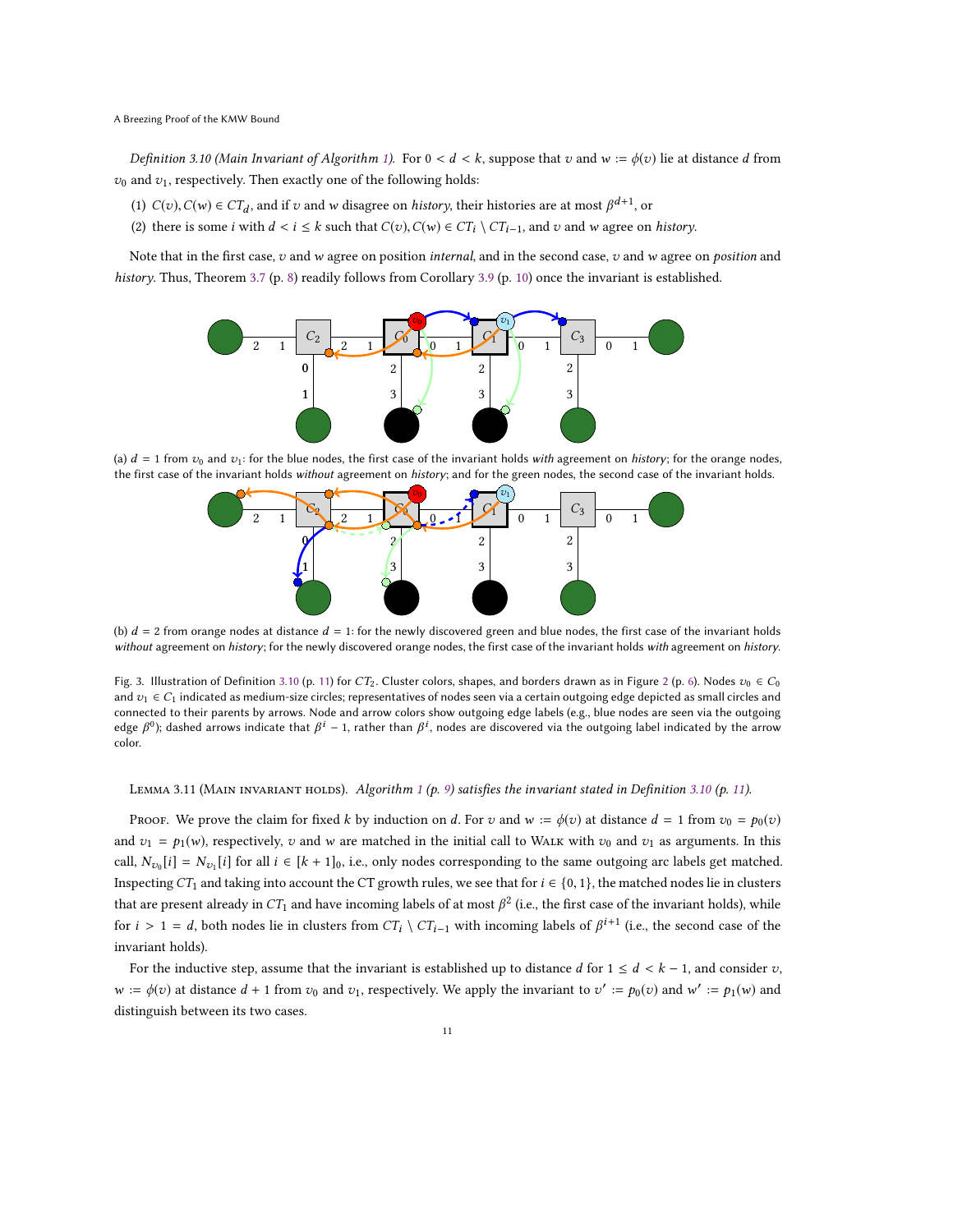<span id="page-10-1"></span>Definition 3.10 (Main Invariant of Algorithm [1\)](#page-8-0). For  $0 < d < k$ , suppose that v and  $w := \phi(v)$  lie at distance d from  $v_0$  and  $v_1$ , respectively. Then exactly one of the following holds:

- (1)  $C(v)$ ,  $C(w) \in CT_d$ , and if v and w disagree on *history*, their histories are at most  $\beta^{d+1}$ , or
- (2) there is some *i* with  $d < i \leq k$  such that  $C(v)$ ,  $C(w) \in CT_i \setminus CT_{i-1}$ , and v and w agree on *history*.

<span id="page-10-0"></span>Note that in the first case,  $v$  and  $w$  agree on position internal, and in the second case,  $v$  and  $w$  agree on position and history. Thus, Theorem [3.7](#page-7-3) (p. [8\)](#page-7-3) readily follows from Corollary [3.9](#page-9-1) (p. [10\)](#page-9-1) once the invariant is established.



(a)  $d = 1$  from  $v_0$  and  $v_1$ : for the blue nodes, the first case of the invariant holds with agreement on history; for the orange nodes, the first case of the invariant holds without agreement on history; and for the green nodes, the second case of the invariant holds.



(b)  $d = 2$  from orange nodes at distance  $d = 1$ : for the newly discovered green and blue nodes, the first case of the invariant holds without agreement on history; for the newly discovered orange nodes, the first case of the invariant holds with agreement on history.

Fig. 3. Illustration of Definition [3.10](#page-10-1) (p. [11\)](#page-10-1) for CT<sub>[2](#page-5-0)</sub>. Cluster colors, shapes, and borders drawn as in Figure 2 (p. [6\)](#page-5-0). Nodes  $v_0 \in C_0$ and  $v_1 \in C_1$  indicated as medium-size circles; representatives of nodes seen via a certain outgoing edge depicted as small circles and connected to their parents by arrows. Node and arrow colors show outgoing edge labels (e.g., blue nodes are seen via the outgoing edge  $\beta^0$ ); dashed arrows indicate that  $\beta^i$  – 1, rather than  $\beta^i$ , nodes are discovered via the outgoing label indicated by the arrow color.

## <span id="page-10-2"></span>LEMMA 3.[1](#page-8-0)1 (MAIN INVARIANT HOLDS). Algorithm 1 (p. [9\)](#page-8-0) satisfies the invariant stated in Definition [3.10](#page-10-1) (p. [11\)](#page-10-1).

PROOF. We prove the claim for fixed k by induction on d. For v and  $w := \phi(v)$  at distance  $d = 1$  from  $v_0 = p_0(v)$ and  $v_1 = p_1(w)$ , respectively, v and w are matched in the initial call to WALK with  $v_0$  and  $v_1$  as arguments. In this call,  $N_{v_0}[i] = N_{v_1}[i]$  for all  $i \in [k+1]_0$ , i.e., only nodes corresponding to the same outgoing arc labels get matched. Inspecting CT<sub>1</sub> and taking into account the CT growth rules, we see that for  $i \in \{0, 1\}$ , the matched nodes lie in clusters that are present already in  $CT_1$  and have incoming labels of at most  $\beta^2$  (i.e., the first case of the invariant holds), while for  $i > 1 = d$ , both nodes lie in clusters from  $CT_i \setminus CT_{i-1}$  with incoming labels of  $\beta^{i+1}$  (i.e., the second case of the invariant holds).

For the inductive step, assume that the invariant is established up to distance d for  $1 \leq d < k - 1$ , and consider v,  $w := \phi(v)$  at distance  $d + 1$  from  $v_0$  and  $v_1$ , respectively. We apply the invariant to  $v' := p_0(v)$  and  $w' := p_1(w)$  and distinguish between its two cases.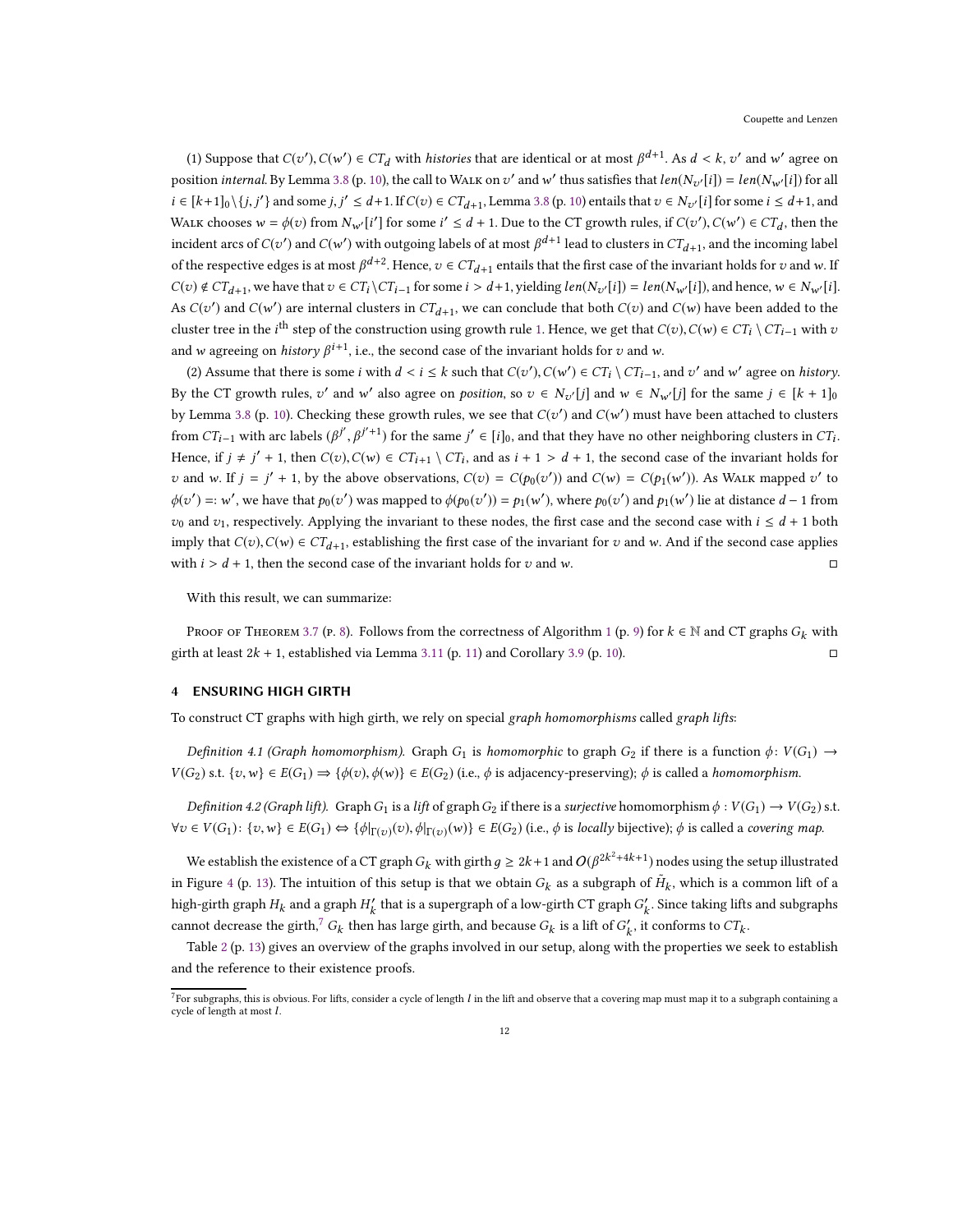(1) Suppose that  $C(v'), C(w') \in CT_d$  with *histories* that are identical or at most  $\beta^{d+1}$ . As  $d < k$ ,  $v'$  and  $w'$  agree on position *internal*. By Lemma [3.8](#page-9-0) (p. [10\)](#page-9-0), the call to WALK on  $v'$  and  $w'$  thus satisfies that  $len(N_{v'}[i]) = len(N_{w'}[i])$  for all  $i \in [k+1]_0 \setminus \{j, j'\}$  and some  $j, j' \leq d+1$ . If  $C(v) \in CT_{d+1}$ , Lemma [3.8](#page-9-0) (p. [10\)](#page-9-0) entails that  $v \in N_{v'}[i]$  for some  $i \leq d+1$ , and WALK chooses  $w = \phi(v)$  from  $N_{w'}[i']$  for some  $i' \leq d + 1$ . Due to the CT growth rules, if  $C(v')$ ,  $C(w') \in CT_d$ , then the incident arcs of  $C(v')$  and  $C(w')$  with outgoing labels of at most  $\beta^{d+1}$  lead to clusters in  $CT_{d+1}$ , and the incoming label of the respective edges is at most  $\beta^{d+2}$ . Hence,  $v \in CT_{d+1}$  entails that the first case of the invariant holds for  $v$  and  $w$ . If  $C(v) \notin CT_{d+1}$ , we have that  $v \in CT_i \setminus CT_{i-1}$  for some  $i > d+1$ , yielding  $len(N_{v'}[i]) = len(N_{w'}[i])$ , and hence,  $w \in N_{w'}[i]$ . As  $C(v')$  and  $C(w')$  are internal clusters in  $CT_{d+1}$ , we can conclude that both  $C(v)$  and  $C(w)$  have been added to the cluster tree in the *i*<sup>th</sup> step of the construction using growth rule [1.](#page-4-2) Hence, we get that  $C(v)$ ,  $C(w) \in CT_i \setminus CT_{i-1}$  with  $v$ and w agreeing on *history*  $\beta^{i+1}$ , i.e., the second case of the invariant holds for v and w.

(2) Assume that there is some *i* with  $d < i \leq k$  such that  $C(v'), C(w') \in CT_i \setminus CT_{i-1}$ , and  $v'$  and  $w'$  agree on *history*. By the CT growth rules,  $v'$  and w' also agree on *position*, so  $v \in N_{v'}[j]$  and  $w \in N_{w'}[j]$  for the same  $j \in [k + 1]_0$ by Lemma [3.8](#page-9-0) (p. [10\)](#page-9-0). Checking these growth rules, we see that  $C(v')$  and  $C(w')$  must have been attached to clusters from  $CT_{i-1}$  with arc labels  $(\beta^{j'}, \beta^{j'+1})$  for the same  $j' \in [i]_0$ , and that they have no other neighboring clusters in  $CT_i$ . Hence, if  $j \neq j' + 1$ , then  $C(v)$ ,  $C(w) \in CT_{i+1} \setminus CT_i$ , and as  $i + 1 > d + 1$ , the second case of the invariant holds for v and w. If  $j = j' + 1$ , by the above observations,  $C(v) = C(p_0(v'))$  and  $C(w) = C(p_1(w'))$ . As WALK mapped v' to  $\phi(v') =: w'$ , we have that  $p_0(v')$  was mapped to  $\phi(p_0(v')) = p_1(w')$ , where  $p_0(v')$  and  $p_1(w')$  lie at distance  $d-1$  from  $v_0$  and  $v_1$ , respectively. Applying the invariant to these nodes, the first case and the second case with  $i \leq d + 1$  both imply that  $C(v)$ ,  $C(w) \in CT_{d+1}$ , establishing the first case of the invariant for v and w. And if the second case applies with  $i > d + 1$ , then the second case of the invariant holds for v and w.

With this result, we can summarize:

PROOF OF THEOREM [3.7](#page-7-3) (p. [8\)](#page-7-3). Follows from the correctness of Algorithm [1](#page-8-0) (p. [9\)](#page-8-0) for  $k \in \mathbb{N}$  and CT graphs  $G_k$  with girth at least  $2k + 1$ , established via Lemma [3.11](#page-10-2) (p. [11\)](#page-10-2) and Corollary [3.9](#page-9-1) (p. [10\)](#page-9-1).

# 4 ENSURING HIGH GIRTH

To construct CT graphs with high girth, we rely on special graph homomorphisms called graph lifts:

Definition 4.1 (Graph homomorphism). Graph G<sub>1</sub> is homomorphic to graph G<sub>2</sub> if there is a function  $\phi: V(G_1) \to$  $V(G_2)$  s.t.  $\{v, w\} \in E(G_1) \Rightarrow \{\phi(v), \phi(w)\} \in E(G_2)$  (i.e.,  $\phi$  is adjacency-preserving);  $\phi$  is called a homomorphism.

Definition 4.2 (Graph lift). Graph G<sub>1</sub> is a lift of graph G<sub>2</sub> if there is a surjective homomorphism  $\phi: V(G_1) \to V(G_2)$  s.t.  $\forall v \in V(G_1): \{v, w\} \in E(G_1) \Leftrightarrow \{\phi|_{\Gamma(v)}(v), \phi|_{\Gamma(v)}(w)\} \in E(G_2)$  (i.e.,  $\phi$  is locally bijective);  $\phi$  is called a covering map.

We establish the existence of a CT graph  $G_k$  with girth  $g\geq 2k+1$  and  $O(\beta^{2k^2+4k+1})$  nodes using the setup illustrated in Figure [4](#page-12-2) (p. [13\)](#page-12-2). The intuition of this setup is that we obtain  $G_k$  as a subgraph of  $\tilde{H}_k$ , which is a common lift of a high-girth graph  $H_k$  and a graph  $H'_k$  that is a supergraph of a low-girth CT graph  $G'_k$ . Since taking lifts and subgraphs cannot decrease the girth,<sup>[7](#page-11-0)</sup>  $G_k$  then has large girth, and because  $G_k$  is a lift of  $G'_k$ , it conforms to  $CT_k$ .

Table [2](#page-12-3) (p. [13\)](#page-12-3) gives an overview of the graphs involved in our setup, along with the properties we seek to establish and the reference to their existence proofs.

<span id="page-11-0"></span> $^7$ For subgraphs, this is obvious. For lifts, consider a cycle of length  $l$  in the lift and observe that a covering map must map it to a subgraph containing a cycle of length at most l.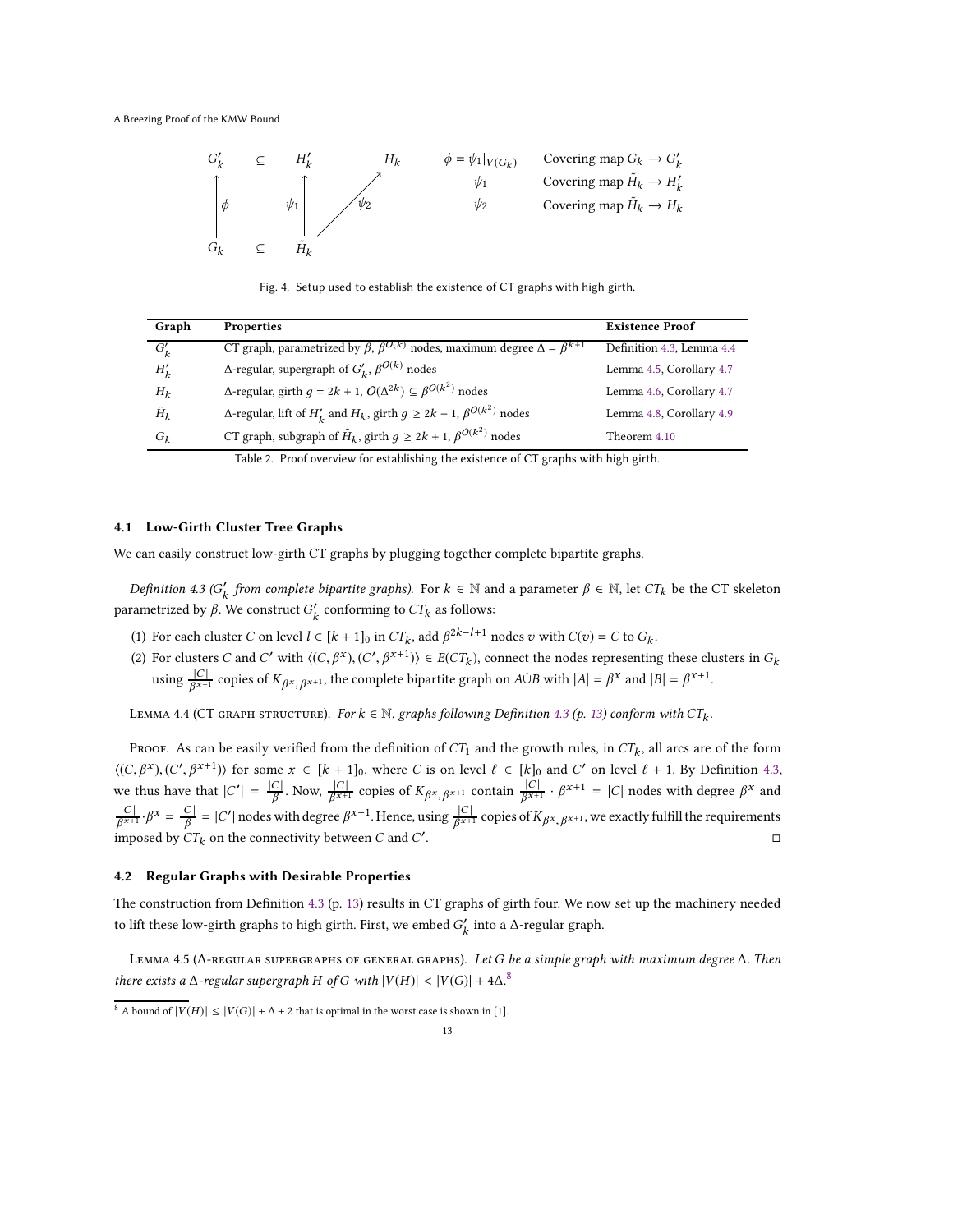<span id="page-12-2"></span>

Fig. 4. Setup used to establish the existence of CT graphs with high girth.

<span id="page-12-3"></span>

| Graph         | <b>Properties</b>                                                                                 | <b>Existence Proof</b>    |
|---------------|---------------------------------------------------------------------------------------------------|---------------------------|
| $G'_{k}$      | CT graph, parametrized by $\beta$ , $\beta^{O(k)}$ nodes, maximum degree $\Delta = \beta^{k+1}$   | Definition 4.3, Lemma 4.4 |
| $H'_{k}$      | $\Delta$ -regular, supergraph of $G'_{k}$ , $\beta^{O(k)}$ nodes                                  | Lemma 4.5, Corollary 4.7  |
| $H_k$         | $\Delta$ -regular, girth $g = 2k + 1$ , $O(\Delta^{2k}) \subseteq \beta^{O(k^2)}$ nodes           | Lemma 4.6, Corollary 4.7  |
| $\tilde{H}_k$ | $\Delta$ -regular, lift of $H'_{k}$ and $H_{k}$ , girth $g \ge 2k + 1$ , $\beta^{O(k^{2})}$ nodes | Lemma 4.8, Corollary 4.9  |
| $G_k$         | CT graph, subgraph of $\tilde{H}_k$ , girth $g \ge 2k + 1$ , $\beta^{O(k^2)}$ nodes               | Theorem 4.10              |

Table 2. Proof overview for establishing the existence of CT graphs with high girth.

### <span id="page-12-0"></span>4.1 Low-Girth Cluster Tree Graphs

We can easily construct low-girth CT graphs by plugging together complete bipartite graphs.

<span id="page-12-4"></span>Definition 4.3 ( $G'_k$  from complete bipartite graphs). For  $k \in \mathbb{N}$  and a parameter  $\beta \in \mathbb{N}$ , let  $CT_k$  be the CT skeleton parametrized by β. We construct  $G'_k$  conforming to  $CT_k$  as follows:

- (1) For each cluster C on level  $l \in [k+1]_0$  in  $CT_k$ , add  $\beta^{2k-l+1}$  nodes  $v$  with  $C(v) = C$  to  $G_k$ .
- (2) For clusters C and C' with  $\langle (C, \beta^x), (C', \beta^{x+1}) \rangle \in ECT_k$ , connect the nodes representing these clusters in  $G_k$ using  $\frac{|C|}{\beta^{x+1}}$  copies of  $K_{\beta^x, \beta^{x+1}}$ , the complete bipartite graph on  $A \cup B$  with  $|A| = \beta^x$  and  $|B| = \beta^{x+1}$ .

<span id="page-12-5"></span>LEMMA 4.4 (CT GRAPH STRUCTURE). For  $k \in \mathbb{N}$ , graphs following Definition [4.3](#page-12-4) (p. [13\)](#page-12-4) conform with  $CT_k$ .

Proof. As can be easily verified from the definition of  $CT_1$  and the growth rules, in  $CT_k$ , all arcs are of the form  $\langle (C, \beta^x), (C', \beta^{x+1}) \rangle$  for some  $x \in [k+1]_0$ , where C is on level  $\ell \in [k]_0$  and C' on level  $\ell + 1$ . By Definition [4.3,](#page-12-4) we thus have that  $|C'| = \frac{|C|}{\beta}$ . Now,  $\frac{|C|}{\beta^{x+1}}$  copies of  $K_{\beta^x, \beta^{x+1}}$  contain  $\frac{|C|}{\beta^{x+1}} \cdot \beta^{x+1} = |C|$  nodes with degree  $\beta^x$  and  $\frac{|C|}{\beta^{x+1}} \cdot \beta^x = \frac{|C|}{\beta} = |C'|$  nodes with degree  $\beta^{x+1}$ . Hence, using  $\frac{|C|}{\beta^{x+1}}$  copies of  $K_{\beta^x, \beta^{x+1}}$ , we exactly fulfill the requirements imposed by  $CT_k$  on the connectivity between C and  $C'$ .

#### <span id="page-12-1"></span>4.2 Regular Graphs with Desirable Properties

The construction from Definition [4.3](#page-12-4) (p. [13\)](#page-12-4) results in CT graphs of girth four. We now set up the machinery needed to lift these low-girth graphs to high girth. First, we embed  $G'_k$  into a  $\Delta$ -regular graph.

<span id="page-12-6"></span>LEMMA 4.5 (∆-REGULAR SUPERGRAPHS OF GENERAL GRAPHS). Let G be a simple graph with maximum degree ∆. Then there exists a  $\Delta$ -regular supergraph H of G with  $|V(H)| < |V(G)| + 4\Delta$ .<sup>[8](#page-12-7)</sup>

<span id="page-12-7"></span><sup>8</sup> A bound of  $|V(H)| \leq |V(G)| + \Delta + 2$  that is optimal in the worst case is shown in [\[1](#page-16-22)].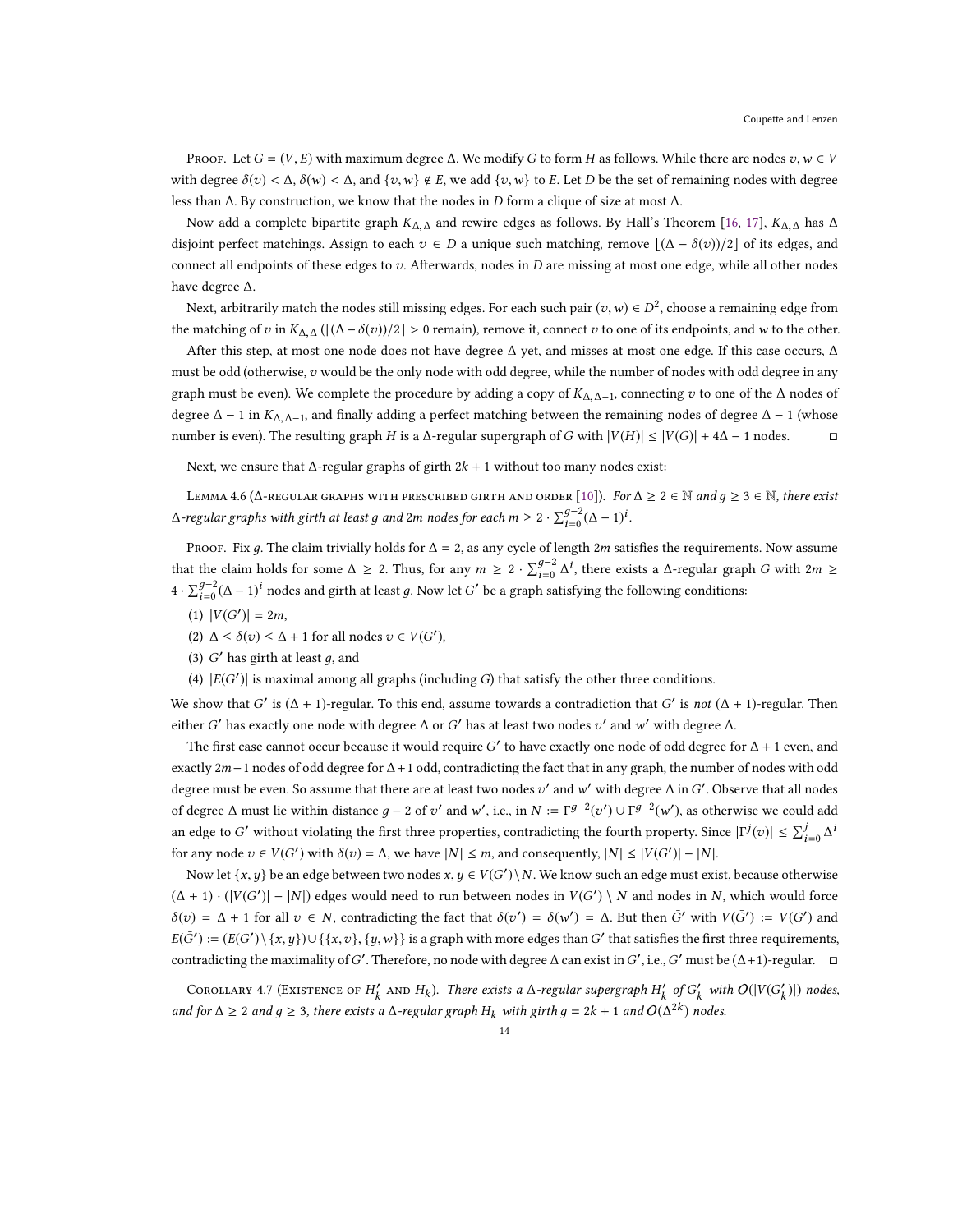PROOF. Let  $G = (V, E)$  with maximum degree  $\Delta$ . We modify G to form H as follows. While there are nodes  $v, w \in V$ with degree  $\delta(v) < \Delta$ ,  $\delta(w) < \Delta$ , and  $\{v, w\} \notin E$ , we add  $\{v, w\}$  to E. Let D be the set of remaining nodes with degree less than ∆. By construction, we know that the nodes in D form a clique of size at most ∆.

Now add a complete bipartite graph  $K_{\Delta,\Delta}$  and rewire edges as follows. By Hall's Theorem [\[16](#page-16-23), [17\]](#page-16-24),  $K_{\Delta,\Delta}$  has  $\Delta$ disjoint perfect matchings. Assign to each  $v \in D$  a unique such matching, remove  $\lfloor (\Delta - \delta(v))/2 \rfloor$  of its edges, and connect all endpoints of these edges to  $v$ . Afterwards, nodes in  $D$  are missing at most one edge, while all other nodes have degree ∆.

Next, arbitrarily match the nodes still missing edges. For each such pair  $(v, w) \in D^2$ , choose a remaining edge from the matching of v in  $K_{\Delta,\Delta}(\lceil(\Delta-\delta(v))/2\rceil > 0$  remain), remove it, connect v to one of its endpoints, and w to the other.

After this step, at most one node does not have degree ∆ yet, and misses at most one edge. If this case occurs, ∆ must be odd (otherwise, v would be the only node with odd degree, while the number of nodes with odd degree in any graph must be even). We complete the procedure by adding a copy of  $K_{\Delta,\Delta-1}$ , connecting v to one of the  $\Delta$  nodes of degree  $\Delta - 1$  in  $K_{\Delta, \Delta-1}$ , and finally adding a perfect matching between the remaining nodes of degree  $\Delta - 1$  (whose number is even). The resulting graph H is a  $\Delta$ -regular supergraph of G with  $|V(H)| \leq |V(G)| + 4\Delta - 1$  nodes.  $\Box$ 

Next, we ensure that  $\Delta$ -regular graphs of girth 2k + 1 without too many nodes exist:

<span id="page-13-1"></span>LEMMA 4.6 ( $\Delta$ -regular graphs with prescribed girth and order [\[10\]](#page-16-25)). For  $\Delta \geq 2 \in \mathbb{N}$  and  $q \geq 3 \in \mathbb{N}$ , there exist ∆-regular graphs with girth at least  $g$  and 2m nodes for each  $m \geq 2 \cdot \sum_{i=0}^{g-2} (\Delta-1)^i$ .

PROOF. Fix g. The claim trivially holds for  $\Delta = 2$ , as any cycle of length 2m satisfies the requirements. Now assume that the claim holds for some  $\Delta \geq 2$ . Thus, for any  $m \geq 2 \cdot \sum_{i=0}^{g-2} \Delta^i$ , there exists a  $\Delta$ -regular graph G with  $2m \geq$  $4 \cdot \sum_{i=0}^{g-2} (\Delta - 1)^i$  nodes and girth at least g. Now let G' be a graph satisfying the following conditions:

- (1)  $|V(G')| = 2m$ ,
- (2)  $\Delta \leq \delta(v) \leq \Delta + 1$  for all nodes  $v \in V(G')$ ,
- (3)  $G'$  has girth at least  $g$ , and
- (4)  $|E(G')|$  is maximal among all graphs (including  $G$ ) that satisfy the other three conditions.

We show that G' is  $(\Delta + 1)$ -regular. To this end, assume towards a contradiction that G' is not  $(\Delta + 1)$ -regular. Then either G' has exactly one node with degree  $\Delta$  or G' has at least two nodes  $v'$  and  $w'$  with degree  $\Delta$ .

The first case cannot occur because it would require  $G'$  to have exactly one node of odd degree for  $\Delta$  + 1 even, and exactly 2m−1 nodes of odd degree for  $\Delta$ +1 odd, contradicting the fact that in any graph, the number of nodes with odd degree must be even. So assume that there are at least two nodes  $v'$  and  $w'$  with degree  $\Delta$  in  $G'$ . Observe that all nodes of degree  $\Delta$  must lie within distance  $g - 2$  of  $v'$  and w', i.e., in  $N = \Gamma^{g-2}(v') \cup \Gamma^{g-2}(w')$ , as otherwise we could add an edge to G' without violating the first three properties, contradicting the fourth property. Since  $|\Gamma^j(v)| \leq \sum_{i=0}^j \Delta^i$ for any node  $v \in V(G')$  with  $\delta(v) = \Delta$ , we have  $|N| \le m$ , and consequently,  $|N| \le |V(G')| - |N|$ .

Now let  $\{x, y\}$  be an edge between two nodes  $x, y \in V(G')\setminus N$ . We know such an edge must exist, because otherwise  $(\Delta + 1) \cdot (|V(G')| - |N|)$  edges would need to run between nodes in  $V(G') \setminus N$  and nodes in N, which would force  $δ(v) = Δ + 1$  for all  $v ∈ N$ , contradicting the fact that  $δ(v') = δ(w') = Δ$ . But then  $\bar{G}'$  with  $V(\bar{G}') := V(G')$  and  $E(\bar{G}') := (E(G') \setminus \{x, y\}) \cup \{\{x, v\}, \{y, w\}\}$  is a graph with more edges than  $G'$  that satisfies the first three requirements, contradicting the maximality of G'. Therefore, no node with degree  $\Delta$  can exist in G', i.e., G' must be ( $\Delta+1$ )-regular.  $\Box$ 

<span id="page-13-0"></span>COROLLARY 4.7 (EXISTENCE OF  $H'_k$  AND  $H_k$ ). There exists a ∆-regular supergraph  $H'_k$  of  $G'_k$  with  $O(|V(G'_k)|)$  nodes, and for ∆ ≥ 2 and  $g$  ≥ 3, there exists a ∆-regular graph  $H_k$  with girth  $g = 2k + 1$  and  $O(\Delta^{2k})$  nodes.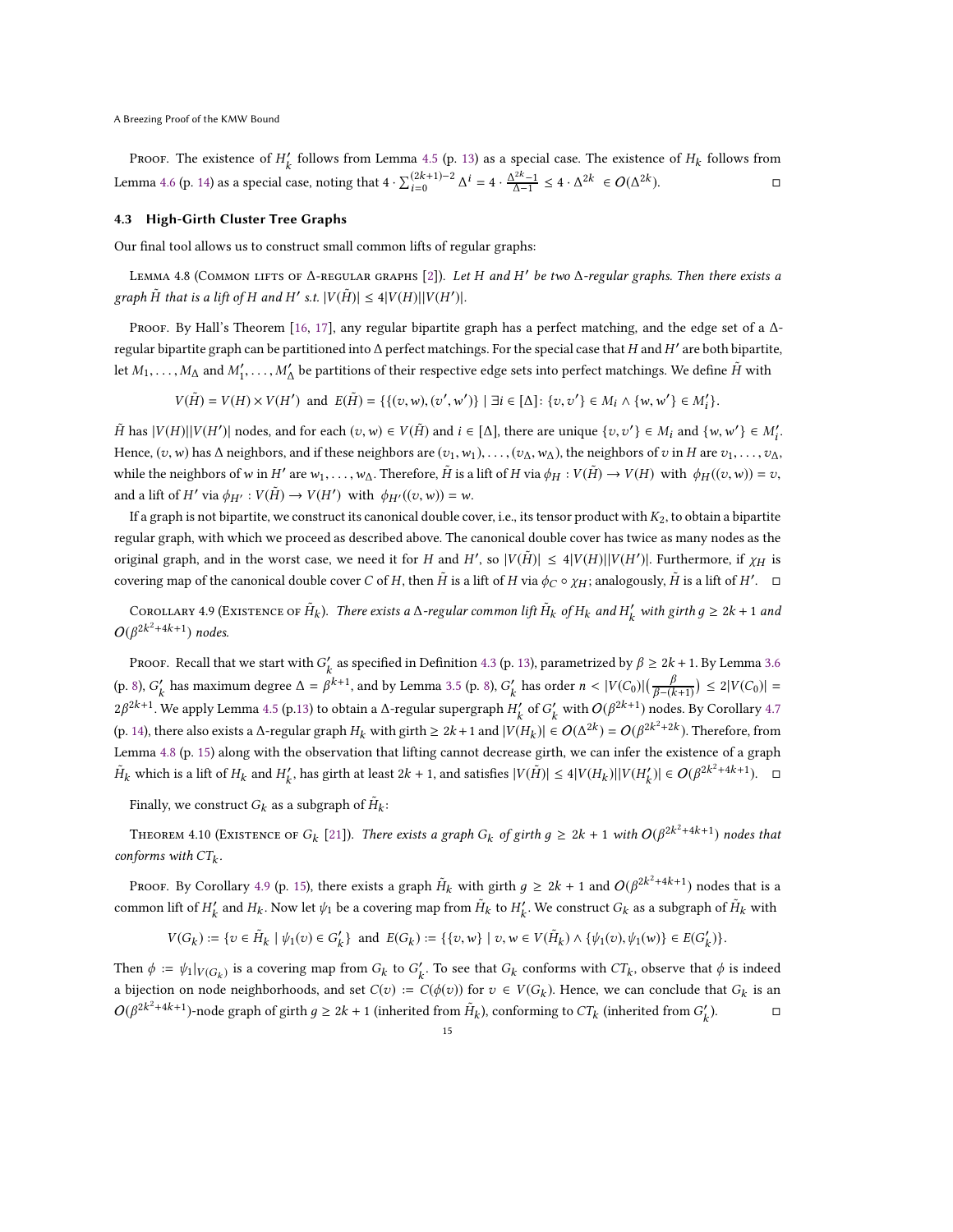Proof. The existence of  $H'_k$  follows from Lemma [4.5](#page-12-6) (p. [13\)](#page-12-6) as a special case. The existence of  $H_k$  follows from Lemma [4.6](#page-13-1) (p. [14\)](#page-13-1) as a special case, noting that  $4 \cdot \sum_{i=0}^{(2k+1)-2} \Delta^i = 4 \cdot \frac{\Delta^{2k}-1}{\Delta-1} \le 4 \cdot \Delta^{2k} \in O(\Delta^{2k})$  $\Box$ 

#### <span id="page-14-0"></span>4.3 High-Girth Cluster Tree Graphs

Our final tool allows us to construct small common lifts of regular graphs:

<span id="page-14-1"></span>LEMMA 4.8 (СОММОН LIFTS OF ∆-REGULAR GRAPHS [\[2\]](#page-16-26)). Let H and H' be two ∆-regular graphs. Then there exists a graph  $\tilde{H}$  that is a lift of H and H' s.t.  $|V(\tilde{H})| \leq 4|V(H)| |V(H')|$ .

Proof. By Hall's Theorem [\[16,](#page-16-23) [17\]](#page-16-24), any regular bipartite graph has a perfect matching, and the edge set of a  $\Delta$ regular bipartite graph can be partitioned into  $\Delta$  perfect matchings. For the special case that H and H $'$  are both bipartite, let  $M_1,\ldots,M_\Delta$  and  $M'_1,\ldots,M'_\Delta$  be partitions of their respective edge sets into perfect matchings. We define  $\tilde H$  with

 $V(\tilde{H}) = V(H) \times V(H')$  and  $E(\tilde{H}) = \{ \{ (v, w), (v', w') \} \mid \exists i \in [\Delta] : \{ v, v' \} \in M_i \wedge \{ w, w' \} \in M'_i \}.$ 

 $\tilde{H}$  has  $|V(H)||V(H')|$  nodes, and for each  $(v, w) \in V(\tilde{H})$  and  $i \in [\Delta]$ , there are unique  $\{v, v'\} \in M_i$  and  $\{w, w'\} \in M'_i$ . Hence,  $(v, w)$  has  $\Delta$  neighbors, and if these neighbors are  $(v_1, w_1), \ldots, (v_\Delta, w_\Delta)$ , the neighbors of  $v$  in  $H$  are  $v_1, \ldots, v_\Delta$ , while the neighbors of w in  $H'$  are  $w_1, \ldots, w_\Delta$ . Therefore,  $\tilde{H}$  is a lift of  $H$  via  $\phi_H : V(\tilde{H}) \to V(H)$  with  $\phi_H((v, w)) = v$ , and a lift of  $H'$  via  $\phi_{H'} : V(\tilde{H}) \to V(H')$  with  $\phi_{H'}((v, w)) = w$ .

If a graph is not bipartite, we construct its canonical double cover, i.e., its tensor product with  $K_2$ , to obtain a bipartite regular graph, with which we proceed as described above. The canonical double cover has twice as many nodes as the original graph, and in the worst case, we need it for H and H', so  $|V(\tilde{H})| \leq 4|V(H)||V(H')|$ . Furthermore, if  $\chi_H$  is covering map of the canonical double cover C of H, then  $\tilde{H}$  is a lift of H via  $\phi_C \circ \chi_H$ ; analogously,  $\tilde{H}$  is a lift of H'.  $\Box$ 

<span id="page-14-2"></span>COROLLARY 4.9 (EXISTENCE OF  $H_k$ ). There exists a ∆-regular common lift  $H_k$  of  $H_k$  and  $H'_k$  with girth  $g \ge 2k + 1$  and  $O(\beta^{2k^2+4k+1})$  nodes.

Proof. Recall that we start with  $G'_k$  as specified in Definition [4.3](#page-12-4) (p. [13\)](#page-12-4), parametrized by  $\beta \ge 2k + 1$ . By Lemma [3.6](#page-7-4) (p. [8\)](#page-7-5),  $G'_{k}$  has maximum degree  $\Delta = \beta^{k+1}$ , and by Lemma [3.5](#page-7-5) (p. 8),  $G'_{k}$  has order  $n < |V(C_0)| \left(\frac{\beta}{\beta - (k+1)}\right) \le 2|V(C_0)| =$ 2β<sup>2k+1</sup>. We apply Lemma [4.5](#page-12-6) (p[.13\)](#page-12-6) to obtain a ∆-regular supergraph  $H'_k$  of  $G'_k$  with  $O(β^{2k+1})$  nodes. By Corollary [4.7](#page-13-0) (p. [14\)](#page-13-0), there also exists a ∆-regular graph  $H_k$  with girth ≥ 2k + 1 and  $|V(H_k)| \in O(\Delta^{2k}) = O(\beta^{2k^2+2k})$ . Therefore, from Lemma [4.8](#page-14-1) (p. [15\)](#page-14-1) along with the observation that lifting cannot decrease girth, we can infer the existence of a graph  $\tilde{H}_k$  which is a lift of  $H_k$  and  $H'_k$ , has girth at least 2k + 1, and satisfies  $|V(\tilde{H})| \le 4|V(H_k)||V(H'_k)| \in O(\beta^{2k^2+4k+1})$ . □

Finally, we construct  $G_k$  as a subgraph of  $\tilde{H}_k$ :

<span id="page-14-3"></span>THEOREM 4.10 (EXISTENCE OF  $G_k$  [\[21\]](#page-16-14)). There exists a graph  $G_k$  of girth  $g \ge 2k + 1$  with  $O(\beta^{2k^2 + 4k + 1})$  nodes that conforms with  $CT_k$ .

Proof. By Corollary [4.9](#page-14-2) (p. [15\)](#page-14-2), there exists a graph  $H_k$  with girth  $g \ge 2k + 1$  and  $O(\beta^{2k^2 + 4k + 1})$  nodes that is a common lift of  $H'_k$  and  $H_k$ . Now let  $\psi_1$  be a covering map from  $\tilde{H}_k$  to  $H'_k$ . We construct  $G_k$  as a subgraph of  $\tilde{H}_k$  with

$$
V(G_k):=\{v\in \tilde{H}_k\mid \psi_1(v)\in G_k'\}\ \ \text{and}\ \ E(G_k):=\{\{v,w\}\mid v,w\in V(\tilde{H}_k)\wedge \{\psi_1(v),\psi_1(w)\}\in E(G_k')\}.
$$

Then  $\phi := \psi_1|_{V(G_k)}$  is a covering map from  $G_k$  to  $G'_k$ . To see that  $G_k$  conforms with  $CT_k$ , observe that  $\phi$  is indeed a bijection on node neighborhoods, and set  $C(v) := C(\phi(v))$  for  $v \in V(G_k)$ . Hence, we can conclude that  $G_k$  is an  $O(β^{2k^2+4k+1})$ -node graph of girth  $g ≥ 2k + 1$  (inherited from  $H_k$ ), conforming to  $CT_k$  (inherited from  $G'_k$ ).  $□$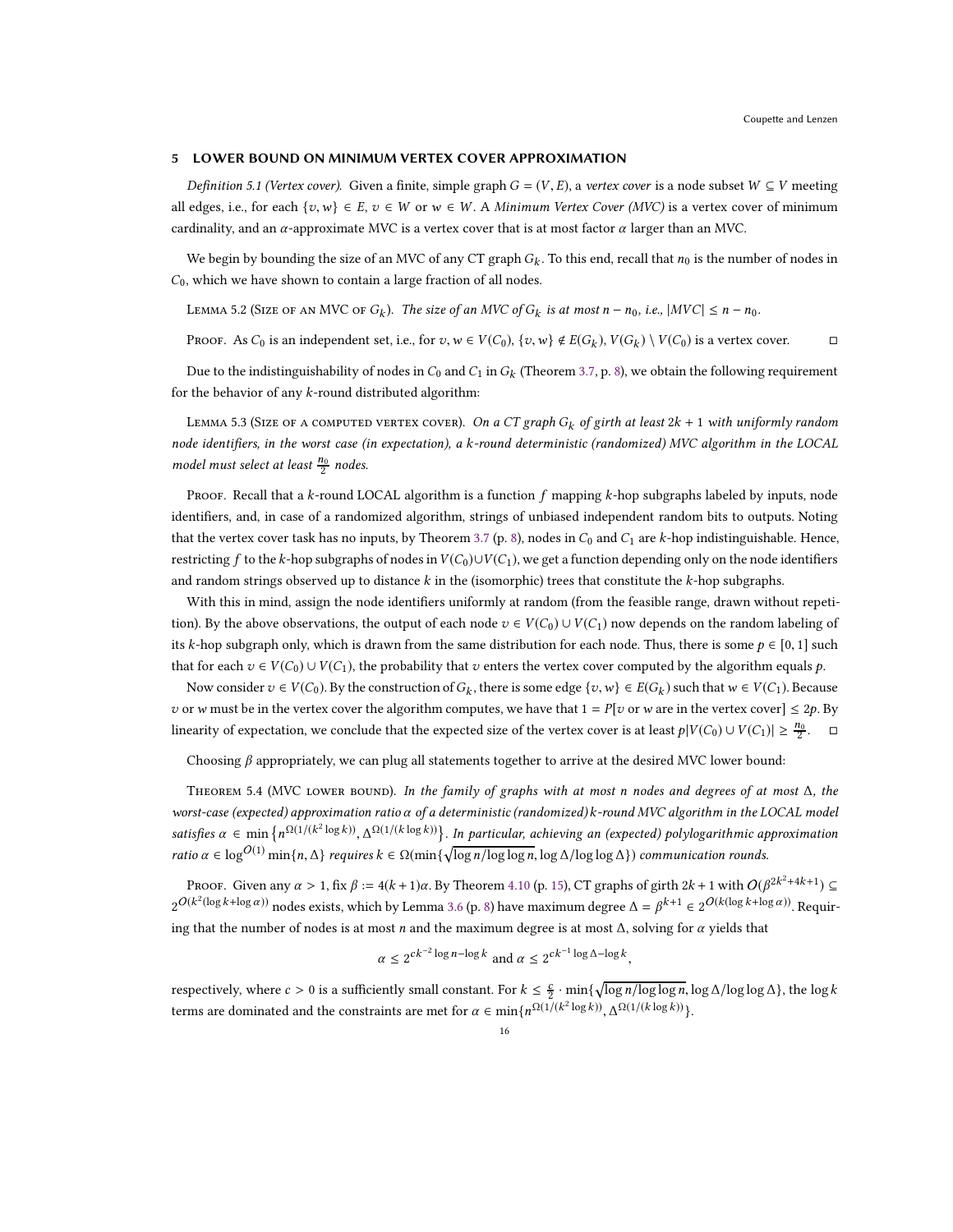#### <span id="page-15-0"></span>5 LOWER BOUND ON MINIMUM VERTEX COVER APPROXIMATION

Definition 5.1 (Vertex cover). Given a finite, simple graph  $G = (V, E)$ , a vertex cover is a node subset  $W \subseteq V$  meeting all edges, i.e., for each  $\{v, w\} \in E$ ,  $v \in W$  or  $w \in W$ . A *Minimum Vertex Cover (MVC)* is a vertex cover of minimum cardinality, and an  $\alpha$ -approximate MVC is a vertex cover that is at most factor  $\alpha$  larger than an MVC.

We begin by bounding the size of an MVC of any CT graph  $G_k$ . To this end, recall that  $n_0$  is the number of nodes in  $C_0$ , which we have shown to contain a large fraction of all nodes.

<span id="page-15-1"></span>LEMMA 5.2 (SIZE OF AN MVC OF  $G_k$ ). The size of an MVC of  $G_k$  is at most  $n - n_0$ , i.e.,  $|MVC| \le n - n_0$ .

Proof. As  $C_0$  is an independent set, i.e., for  $v, w \in V(C_0)$ ,  $\{v, w\} \notin E(G_k)$ ,  $V(G_k) \setminus V(C_0)$  is a vertex cover.

Due to the indistinguishability of nodes in  $C_0$  and  $C_1$  in  $G_k$  (Theorem [3.7,](#page-7-3) p. [8\)](#page-7-3), we obtain the following requirement for the behavior of any  $k$ -round distributed algorithm:

<span id="page-15-2"></span>LEMMA 5.3 (SIZE OF A COMPUTED VERTEX COVER). *On a CT graph*  $G_k$  *of girth at least*  $2k + 1$  with uniformly random node identifiers, in the worst case (in expectation), a k-round deterministic (randomized) MVC algorithm in the LOCAL model must select at least  $\frac{n_0}{2}$  nodes.

PROOF. Recall that a k-round LOCAL algorithm is a function  $f$  mapping k-hop subgraphs labeled by inputs, node identifiers, and, in case of a randomized algorithm, strings of unbiased independent random bits to outputs. Noting that the vertex cover task has no inputs, by Theorem [3.7](#page-7-3) (p. [8\)](#page-7-3), nodes in  $C_0$  and  $C_1$  are k-hop indistinguishable. Hence, restricting f to the k-hop subgraphs of nodes in  $V(C_0) \cup V(C_1)$ , we get a function depending only on the node identifiers and random strings observed up to distance  $k$  in the (isomorphic) trees that constitute the  $k$ -hop subgraphs.

With this in mind, assign the node identifiers uniformly at random (from the feasible range, drawn without repetition). By the above observations, the output of each node  $v \in V(C_0) \cup V(C_1)$  now depends on the random labeling of its k-hop subgraph only, which is drawn from the same distribution for each node. Thus, there is some  $p \in [0, 1]$  such that for each  $v \in V(C_0) \cup V(C_1)$ , the probability that v enters the vertex cover computed by the algorithm equals p.

Now consider  $v \in V(C_0)$ . By the construction of  $G_k$ , there is some edge  $\{v, w\} \in E(G_k)$  such that  $w \in V(C_1)$ . Because v or w must be in the vertex cover the algorithm computes, we have that  $1 = P[v]$  or w are in the vertex cover]  $\leq 2p$ . By linearity of expectation, we conclude that the expected size of the vertex cover is at least  $p|V(C_0) \cup V(C_1)| \geq \frac{n_0}{2}$ .  $\Box$ 

Choosing  $\beta$  appropriately, we can plug all statements together to arrive at the desired MVC lower bound:

<span id="page-15-3"></span>Theorem 5.4 (MVC lower bound). In the family of graphs with at most n nodes and degrees of at most ∆, the worst-case (expected) approximation ratio α of a deterministic (randomized) k-round MVC algorithm in the LOCAL model satisfies  $\alpha \in \min\left\{n^{\Omega(1/(k^2\log k))}, \Delta^{\Omega(1/(k\log k))}\right\}$ . In particular, achieving an (expected) polylogarithmic approximation ratio  $\alpha \in \log^{O(1)} \min\{n, \Delta\}$  requires  $k \in \Omega(\min\{\sqrt{\log n/\log \log n}, \log \Delta/\log \log \Delta\})$  communication rounds.

Proof. Given any  $\alpha > 1$ , fix  $\beta := 4(k + 1)\alpha$ . By Theorem [4.10](#page-14-3) (p. [15\)](#page-14-3), CT graphs of girth  $2k + 1$  with  $O(\beta^{2k^2 + 4k + 1}) \subseteq$  $2^{O(k^2(\log k + \log \alpha))}$  nodes exists, which by Lemma [3.6](#page-7-4) (p. [8\)](#page-7-4) have maximum degree  $\Delta = \beta^{k+1} \in 2^{O(k(\log k + \log \alpha))}$ . Requiring that the number of nodes is at most *n* and the maximum degree is at most  $\Delta$ , solving for  $\alpha$  yields that

$$
\alpha \le 2^{ck^{-2}\log n - \log k} \text{ and } \alpha \le 2^{ck^{-1}\log \Delta - \log k},
$$

respectively, where  $c > 0$  is a sufficiently small constant. For  $k \leq \frac{c}{2} \cdot \min\{\sqrt{\log n/\log\log n}, \log \Delta/\log\log\Delta\}$ , the  $\log k$ terms are dominated and the constraints are met for  $\alpha \in \min\{n^{\Omega(1/(k^2 \log k))}, \Delta^{\Omega(1/(k \log k))}\}.$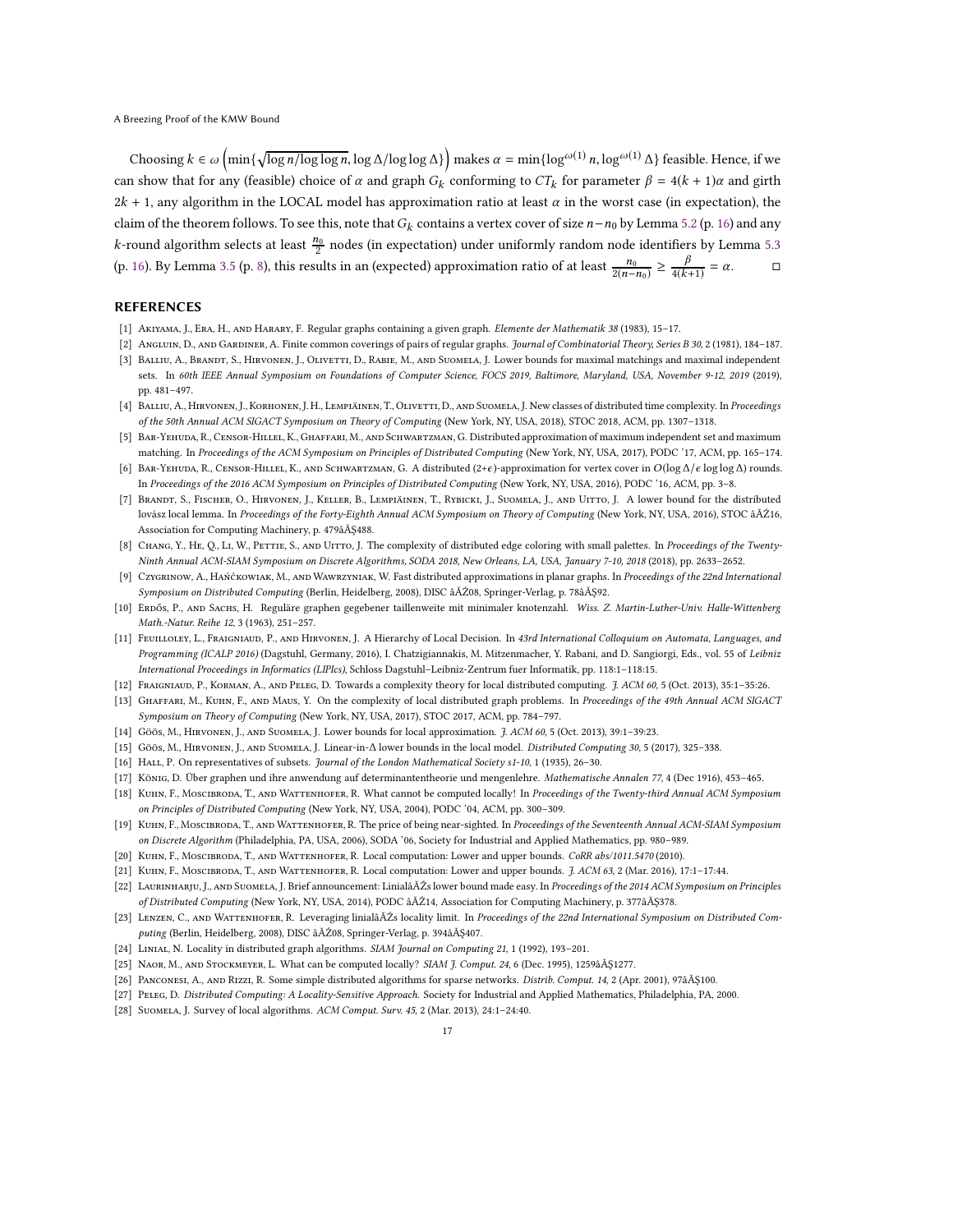Choosing  $k \in \omega\left(\min\{\sqrt{\log n/\log\log n}, \log \Delta/\log\log \Delta\}\right)$  makes  $\alpha = \min\{\log^{\omega(1)} n, \log^{\omega(1)} \Delta\}$  feasible. Hence, if we can show that for any (feasible) choice of  $\alpha$  and graph  $G_k$  conforming to  $CT_k$  for parameter  $\beta = 4(k + 1)\alpha$  and girth  $2k + 1$ , any algorithm in the LOCAL model has approximation ratio at least  $\alpha$  in the worst case (in expectation), the claim of the theorem follows. To see this, note that  $G_k$  contains a vertex cover of size  $n-n_0$  by Lemma [5.2](#page-15-1) (p. [16\)](#page-15-1) and any *k*-round algorithm selects at least  $\frac{n_0}{2}$  nodes (in expectation) under uniformly random node identifiers by Lemma [5.3](#page-15-2) (p. [16\)](#page-15-2). By Lemma [3.5](#page-7-5) (p. [8\)](#page-7-5), this results in an (expected) approximation ratio of at least  $\frac{n_0}{2(n-n_0)} \ge \frac{\beta}{4(k+1)} = \alpha$ .

# REFERENCES

- <span id="page-16-22"></span>[1] Akiyama, J., Era, H., and Harary, F. Regular graphs containing a given graph. Elemente der Mathematik 38 (1983), 15–17.
- <span id="page-16-26"></span><span id="page-16-8"></span>[2] ANGLUIN, D., AND GARDINER, A. Finite common coverings of pairs of regular graphs. Journal of Combinatorial Theory, Series B 30, 2 (1981), 184-187. [3] BALLIU, A., BRANDT, S., HIRVONEN, J., OLIVETTI, D., RABIE, M., AND SUOMELA, J. Lower bounds for maximal matchings and maximal independent sets. In 60th IEEE Annual Symposium on Foundations of Computer Science, FOCS 2019, Baltimore, Maryland, USA, November 9-12, 2019 (2019), pp. 481–497.
- <span id="page-16-15"></span>[4] BALLIU, A., HIRVONEN, J., KORHONEN, J. H., LEMPIÄINEN, T., OLIVETTI, D., AND SUOMELA, J. New classes of distributed time complexity. In Proceedings of the 50th Annual ACM SIGACT Symposium on Theory of Computing (New York, NY, USA, 2018), STOC 2018, ACM, pp. 1307–1318.
- <span id="page-16-19"></span>[5] BAR-YEHUDA, R., CENSOR-HILLEL, K., GHAFFARI, M., AND SCHWARTZMAN, G. Distributed approximation of maximum independent set and maximum matching. In Proceedings of the ACM Symposium on Principles of Distributed Computing (New York, NY, USA, 2017), PODC '17, ACM, pp. 165–174.
- <span id="page-16-13"></span>[6] Bar-Yehuda, R., Censor-Hillel, K., and Schwartzman, G. A distributed (2+<sup>ϵ</sup> )-approximation for vertex cover in <sup>O</sup>(log <sup>∆</sup>/<sup>ϵ</sup> log log <sup>∆</sup>) rounds. In Proceedings of the 2016 ACM Symposium on Principles of Distributed Computing (New York, NY, USA, 2016), PODC '16, ACM, pp. 3–8.
- <span id="page-16-9"></span>[7] Brandt, S., Fischer, O., Hirvonen, J., Keller, B., Lempiäinen, T., Rybicki, J., Suomela, J., and Uitto, J. A lower bound for the distributed lovász local lemma. In Proceedings of the Forty-Eighth Annual ACM Symposium on Theory of Computing (New York, NY, USA, 2016), STOC âĂŹ16, Association for Computing Machinery, p. 479âĂŞ488.
- <span id="page-16-10"></span>[8] CHANG, Y., HE, Q., LI, W., PETTIE, S., AND UITTO, J. The complexity of distributed edge coloring with small palettes. In Proceedings of the Twenty-Ninth Annual ACM-SIAM Symposium on Discrete Algorithms, SODA 2018, New Orleans, LA, USA, January 7-10, 2018 (2018), pp. 2633–2652.
- <span id="page-16-2"></span>[9] Czygrinow, A., Hańćkowiak, M., AND WAWRZYNIAK, W. Fast distributed approximations in planar graphs. In Proceedings of the 22nd International Symposium on Distributed Computing (Berlin, Heidelberg, 2008), DISC âĂŹ08, Springer-Verlag, p. 78âĂŞ92.
- <span id="page-16-25"></span>[10] ERDŐS, P., AND SACHS, H. Reguläre graphen gegebener taillenweite mit minimaler knotenzahl. Wiss. Z. Martin-Luther-Univ. Halle-Wittenberg Math.-Natur. Reihe 12, 3 (1963), 251–257.
- <span id="page-16-16"></span>[11] FEUILLOLEY, L., FRAIGNIAUD, P., AND HIRVONEN, J. A Hierarchy of Local Decision. In 43rd International Colloquium on Automata, Languages, and Programming (ICALP 2016) (Dagstuhl, Germany, 2016), I. Chatzigiannakis, M. Mitzenmacher, Y. Rabani, and D. Sangiorgi, Eds., vol. 55 of Leibniz International Proceedings in Informatics (LIPIcs), Schloss Dagstuhl–Leibniz-Zentrum fuer Informatik, pp. 118:1–118:15.
- [12] Fraigniaud, P., Korman, A., and Peleg, D. Towards a complexity theory for local distributed computing. J. ACM 60, 5 (Oct. 2013), 35:1–35:26.
- <span id="page-16-17"></span>[13] GHAFFARI, M., KUHN, F., AND MAUS, Y. On the complexity of local distributed graph problems. In Proceedings of the 49th Annual ACM SIGACT Symposium on Theory of Computing (New York, NY, USA, 2017), STOC 2017, ACM, pp. 784–797.
- <span id="page-16-3"></span>[14] Göös, M., HIRVONEN, J., AND SUOMELA, J. Lower bounds for local approximation. *J. ACM 60*, 5 (Oct. 2013), 39:1–39:23.
- <span id="page-16-4"></span>[15] Göös, M., Hirvonen, J., and Suomela, J. Linear-in-∆ lower bounds in the local model. Distributed Computing 30, 5 (2017), 325–338.
- <span id="page-16-23"></span>[16] Hall, P. On representatives of subsets. Journal of the London Mathematical Society s1-10, 1 (1935), 26–30.
- <span id="page-16-24"></span>[17] König, D. Über graphen und ihre anwendung auf determinantentheorie und mengenlehre. Mathematische Annalen 77, 4 (Dec 1916), 453–465.
- <span id="page-16-0"></span>[18] KUHN, F., MOSCIBRODA, T., AND WATTENHOFER, R. What cannot be computed locally! In Proceedings of the Twenty-third Annual ACM Symposium on Principles of Distributed Computing (New York, NY, USA, 2004), PODC '04, ACM, pp. 300–309.
- <span id="page-16-11"></span>[19] KUHN, F., MOSCIBRODA, T., AND WATTENHOFER, R. The price of being near-sighted. In Proceedings of the Seventeenth Annual ACM-SIAM Symposium on Discrete Algorithm (Philadelphia, PA, USA, 2006), SODA '06, Society for Industrial and Applied Mathematics, pp. 980–989.
- <span id="page-16-12"></span>[20] Kuhn, F., Moscibroda, T., and Wattenhofer, R. Local computation: Lower and upper bounds. CoRR abs/1011.5470 (2010).
- <span id="page-16-14"></span>[21] Kuhn, F., Moscibroda, T., and Wattenhofer, R. Local computation: Lower and upper bounds. J. ACM 63, 2 (Mar. 2016), 17:1–17:44.
- <span id="page-16-7"></span>[22] LAURINHARJU, J., AND SUOMELA, J. Brief announcement: LinialâĂŹs lower bound made easy. In Proceedings of the 2014 ACM Symposium on Principles of Distributed Computing (New York, NY, USA, 2014), PODC âĂŹ14, Association for Computing Machinery, p. 377âĂŞ378.
- <span id="page-16-5"></span>[23] LENZEN, C., AND WATTENHOFER, R. Leveraging linialâĂŹs locality limit. In Proceedings of the 22nd International Symposium on Distributed Computing (Berlin, Heidelberg, 2008), DISC âĂŹ08, Springer-Verlag, p. 394âĂŞ407.
- <span id="page-16-1"></span>[24] Linial, N. Locality in distributed graph algorithms. SIAM Journal on Computing 21, 1 (1992), 193–201.
- <span id="page-16-6"></span>[25] Naor, M., and Stockmeyer, L. What can be computed locally? SIAM J. Comput. 24, 6 (Dec. 1995), 1259âĂŞ1277.
- <span id="page-16-20"></span>[26] Panconesi, A., and Rizzi, R. Some simple distributed algorithms for sparse networks. Distrib. Comput. 14, 2 (Apr. 2001), 97âĂŞ100.
- <span id="page-16-21"></span>[27] PELEG, D. Distributed Computing: A Locality-Sensitive Approach. Society for Industrial and Applied Mathematics, Philadelphia, PA, 2000.
- <span id="page-16-18"></span>[28] SUOMELA, J. Survey of local algorithms. ACM Comput. Surv. 45, 2 (Mar. 2013), 24:1-24:40.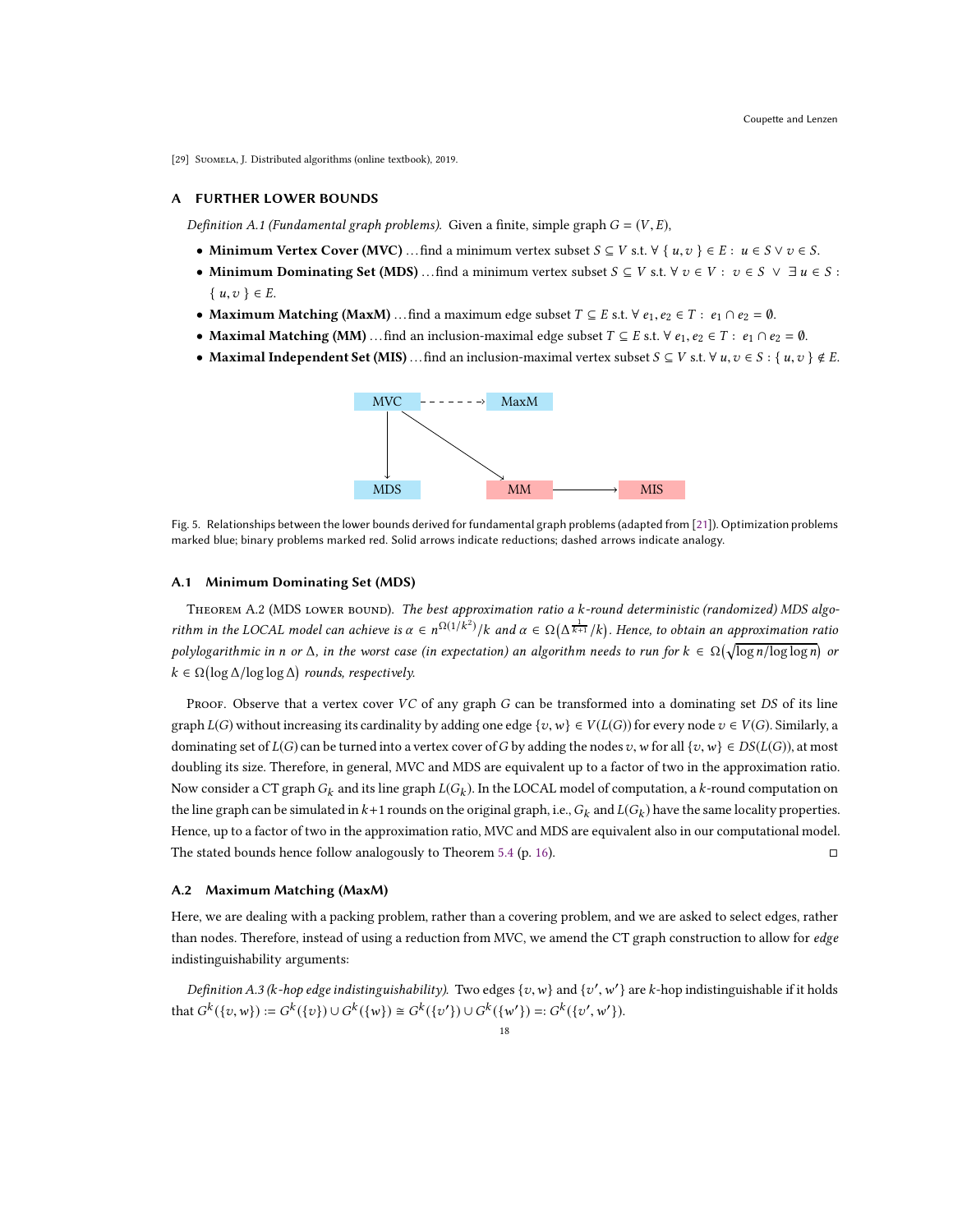<span id="page-17-0"></span>[29] SUOMELA, J. Distributed algorithms (online textbook), 2019.

# A FURTHER LOWER BOUNDS

Definition A.1 (Fundamental graph problems). Given a finite, simple graph  $G = (V, E)$ ,

- Minimum Vertex Cover (MVC) ... find a minimum vertex subset  $S \subseteq V$  s.t.  $\forall \{u, v\} \in E : u \in S \lor v \in S$ .
- Minimum Dominating Set (MDS) ... find a minimum vertex subset  $S \subseteq V$  s.t.  $\forall v \in V : v \in S \lor \exists u \in S :$  $\{u, v\} \in E$ .
- Maximum Matching (MaxM) ... find a maximum edge subset  $T \subseteq E$  s.t.  $\forall e_1, e_2 \in T : e_1 \cap e_2 = \emptyset$ .
- Maximal Matching (MM) ... find an inclusion-maximal edge subset  $T \subseteq E$  s.t.  $\forall e_1, e_2 \in T : e_1 \cap e_2 = \emptyset$ .
- Maximal Independent Set (MIS) ... find an inclusion-maximal vertex subset  $S \subseteq V$  s.t.  $\forall u, v \in S : \{u, v\} \notin E$ .



Fig. 5. Relationships between the lower bounds derived for fundamental graph problems (adapted from [\[21\]](#page-16-14)). Optimization problems marked blue; binary problems marked red. Solid arrows indicate reductions; dashed arrows indicate analogy.

#### A.1 Minimum Dominating Set (MDS)

THEOREM A.2 (MDS LOWER BOUND). The best approximation ratio a k-round deterministic (randomized) MDS algorithm in the LOCAL model can achieve is  $\alpha \in n^{\Omega(1/k^2)}/k$  and  $\alpha \in \Omega(\Delta^{\frac{1}{k+1}}/k)$ . Hence, to obtain an approximation ratio polylogarithmic in n or  $\Delta$ , in the worst case (in expectation) an algorithm needs to run for  $k \in \Omega(\sqrt{\log n/\log\log n})$  or  $k \in \Omega(\log \Delta/\log \log \Delta)$  rounds, respectively.

Proof. Observe that a vertex cover  $VC$  of any graph  $G$  can be transformed into a dominating set  $DS$  of its line graph  $L(G)$  without increasing its cardinality by adding one edge  $\{v,w\} \in V(L(G))$  for every node  $v \in V(G)$ . Similarly, a dominating set of  $L(G)$  can be turned into a vertex cover of G by adding the nodes v, w for all {v, w}  $\in DS(L(G))$ , at most doubling its size. Therefore, in general, MVC and MDS are equivalent up to a factor of two in the approximation ratio. Now consider a CT graph  $G_k$  and its line graph  $L(G_k)$ . In the LOCAL model of computation, a  $k$ -round computation on the line graph can be simulated in  $k+1$  rounds on the original graph, i.e.,  $G_k$  and  $L(G_k)$  have the same locality properties. Hence, up to a factor of two in the approximation ratio, MVC and MDS are equivalent also in our computational model. The stated bounds hence follow analogously to Theorem [5.4](#page-15-3) (p. [16\)](#page-15-3).

## A.2 Maximum Matching (MaxM)

Here, we are dealing with a packing problem, rather than a covering problem, and we are asked to select edges, rather than nodes. Therefore, instead of using a reduction from MVC, we amend the CT graph construction to allow for edge indistinguishability arguments:

Definition A.3 (k-hop edge indistinguishability). Two edges  $\{v,w\}$  and  $\{v',w'\}$  are k-hop indistinguishable if it holds that  $G^k(\{v, w\}) := G^k(\{v\}) \cup G^k(\{w\}) \cong G^k(\{v'\}) \cup G^k(\{w'\}) =: G^k(\{v', w'\}).$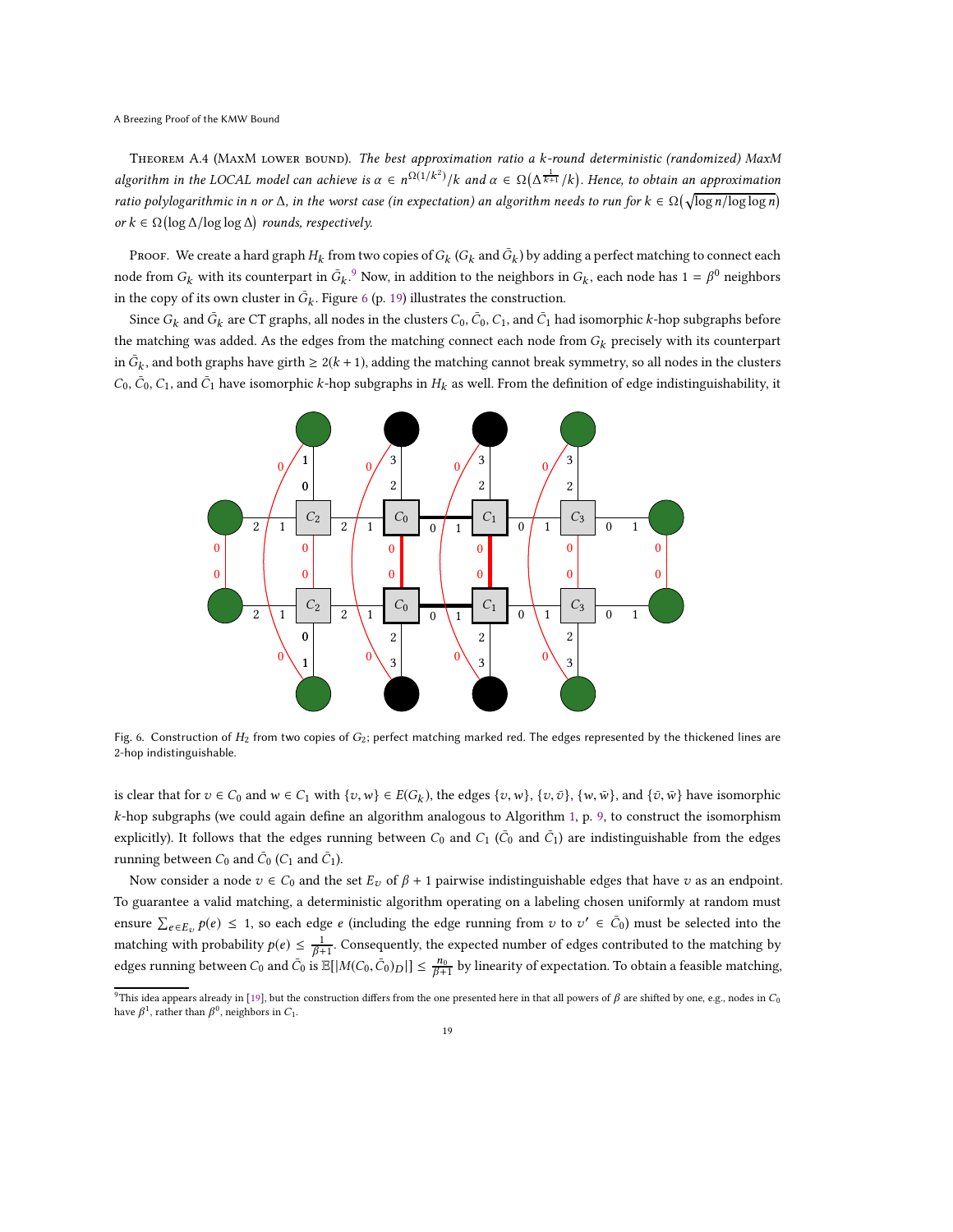THEOREM A.4 (MAXM LOWER BOUND). The best approximation ratio a k-round deterministic (randomized) MaxM algorithm in the LOCAL model can achieve is  $\alpha \in n^{\Omega(1/k^2)}/k$  and  $\alpha \in \Omega(\Delta^{\frac{1}{k+1}}/k)$ . Hence, to obtain an approximation ratio polylogarithmic in n or  $\Delta$ , in the worst case (in expectation) an algorithm needs to run for  $k \in \Omega(\sqrt{\log n/\log\log n})$ or  $k \in \Omega(\log \Delta/\log \log \Delta)$  rounds, respectively.

Proof. We create a hard graph  $H_k$  from two copies of  $G_k$   $(G_k$  and  $\bar{G}_k$ ) by adding a perfect matching to connect each node from  $G_k$  with its counterpart in  $\bar{G}_k$ .<sup>[9](#page-18-0)</sup> Now, in addition to the neighbors in  $G_k$ , each node has  $1 = \beta^0$  neighbors in the copy of its own cluster in  $\bar{G}_k$  . Figure [6](#page-18-1) (p. [19\)](#page-18-1) illustrates the construction.

Since  $G_k$  and  $\bar{G}_k$  are CT graphs, all nodes in the clusters  $C_0$ ,  $\bar{C}_0$ ,  $C_1$ , and  $\bar{C}_1$  had isomorphic  $k$ -hop subgraphs before the matching was added. As the edges from the matching connect each node from  $G_k$  precisely with its counterpart in  $\bar{G}_k$ , and both graphs have girth  $\geq 2(k+1)$ , adding the matching cannot break symmetry, so all nodes in the clusters  $C_0$ ,  $\bar{C}_0$ ,  $C_1$ , and  $\bar{C}_1$  have isomorphic k-hop subgraphs in  $H_k$  as well. From the definition of edge indistinguishability, it

<span id="page-18-1"></span>

Fig. 6. Construction of  $H_2$  from two copies of  $G_2$ ; perfect matching marked red. The edges represented by the thickened lines are -hop indistinguishable.

is clear that for  $v \in C_0$  and  $w \in C_1$  with  $\{v, w\} \in E(G_k)$ , the edges  $\{v, w\}$ ,  $\{v, \bar{v}\}$ ,  $\{w, \bar{w}\}$ , and  $\{\bar{v}, \bar{w}\}$  have isomorphic k-hop subgraphs (we could again define an algorithm analogous to Algorithm [1,](#page-8-0) p. [9,](#page-8-0) to construct the isomorphism explicitly). It follows that the edges running between  $C_0$  and  $C_1$  ( $\bar{C}_0$  and  $\bar{C}_1$ ) are indistinguishable from the edges running between  $C_0$  and  $\bar{C}_0$  ( $C_1$  and  $\bar{C}_1$ ).

Now consider a node  $v \in C_0$  and the set  $E_v$  of  $\beta + 1$  pairwise indistinguishable edges that have v as an endpoint. To guarantee a valid matching, a deterministic algorithm operating on a labeling chosen uniformly at random must ensure  $\sum_{e \in E_v} p(e) \leq 1$ , so each edge  $e$  (including the edge running from  $v$  to  $v' \in \bar{C}_0$ ) must be selected into the matching with probability  $p(e) \leq \frac{1}{\beta+1}$ . Consequently, the expected number of edges contributed to the matching by edges running between  $C_0$  and  $\bar{C}_0$  is  $\mathbb{E}[|M(C_0,\bar{C}_0)_D|] \leq \frac{n_0}{\beta+1}$  by linearity of expectation. To obtain a feasible matching,

<span id="page-18-0"></span><sup>&</sup>lt;sup>9</sup>This idea appears already in [\[19](#page-16-11)], but the construction differs from the one presented here in that all powers of  $\beta$  are shifted by one, e.g., nodes in  $C_0$ have  $\beta^1$ , rather than  $\beta^0$ , neighbors in  $C_1$ .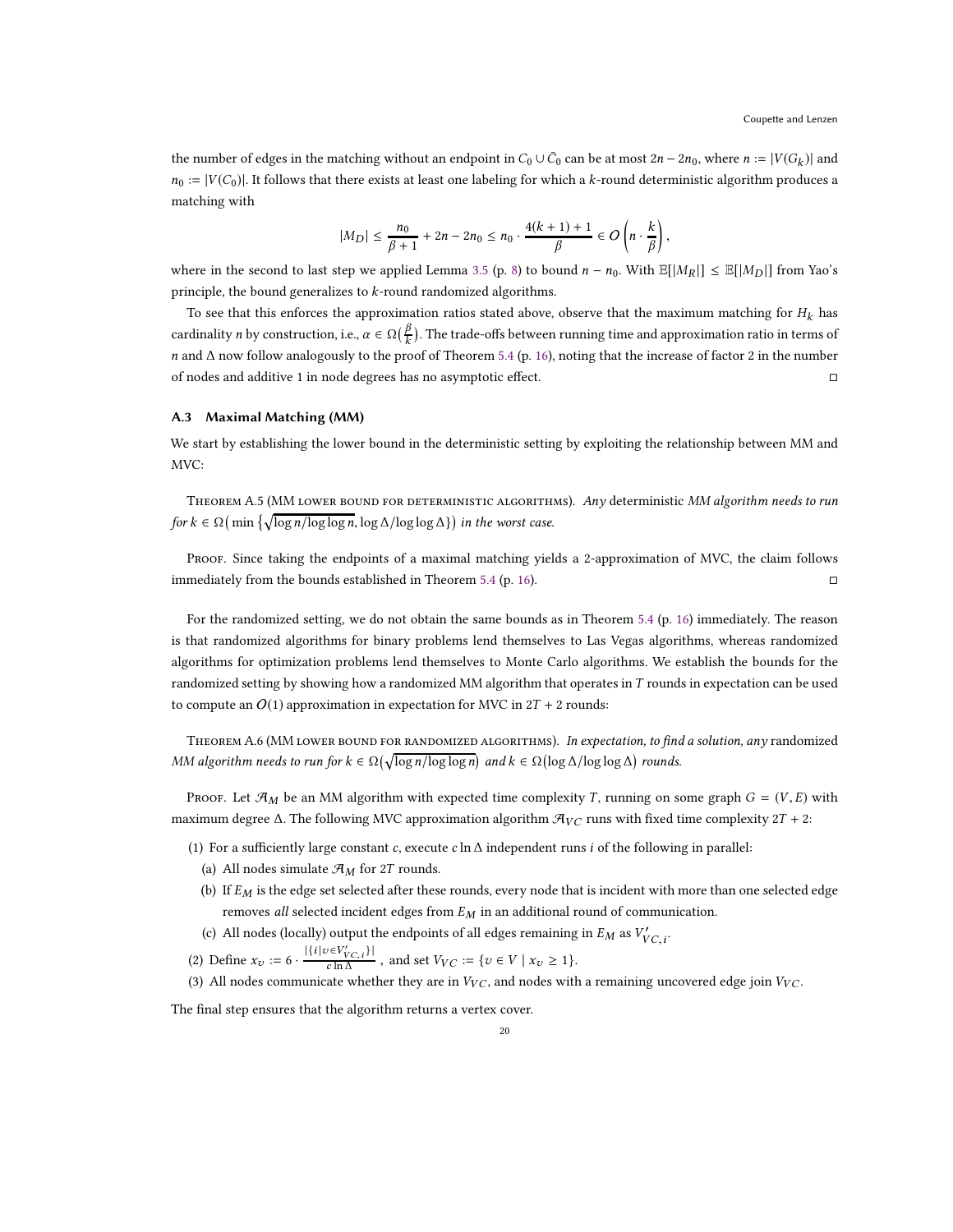the number of edges in the matching without an endpoint in  $C_0 \cup \bar{C}_0$  can be at most  $2n - 2n_0$ , where  $n := |V(G_k)|$  and  $n_0 := |V(C_0)|$ . It follows that there exists at least one labeling for which a k-round deterministic algorithm produces a matching with

$$
|M_D| \leq \frac{n_0}{\beta+1} + 2n - 2n_0 \leq n_0 \cdot \frac{4(k+1)+1}{\beta} \in O\left(n \cdot \frac{k}{\beta}\right),
$$

where in the second to last step we applied Lemma [3.5](#page-7-5) (p. [8\)](#page-7-5) to bound  $n - n_0$ . With  $\mathbb{E}[|M_R|] \leq \mathbb{E}[|M_D|]$  from Yao's principle, the bound generalizes to k-round randomized algorithms.

To see that this enforces the approximation ratios stated above, observe that the maximum matching for  $H_k$  has cardinality *n* by construction, i.e.,  $\alpha \in \Omega(\frac{\beta}{k})$ . The trade-offs between running time and approximation ratio in terms of n and ∆ now follow analogously to the proof of Theorem [5.4](#page-15-3) (p. [16\)](#page-15-3), noting that the increase of factor 2 in the number of nodes and additive 1 in node degrees has no asymptotic effect.

## A.3 Maximal Matching (MM)

We start by establishing the lower bound in the deterministic setting by exploiting the relationship between MM and MVC:

<span id="page-19-2"></span>THEOREM A.5 (MM LOWER BOUND FOR DETERMINISTIC ALGORITHMS). Any deterministic MM algorithm needs to run for  $k \in \Omega$  (min  $\left\{ \sqrt{\log n/\log \log n}, \log \Delta/\log \log \Delta \right\}$ ) in the worst case.

Proof. Since taking the endpoints of a maximal matching yields a 2-approximation of MVC, the claim follows immediately from the bounds established in Theorem [5.4](#page-15-3) (p. [16\)](#page-15-3).

For the randomized setting, we do not obtain the same bounds as in Theorem [5.4](#page-15-3) (p. [16\)](#page-15-3) immediately. The reason is that randomized algorithms for binary problems lend themselves to Las Vegas algorithms, whereas randomized algorithms for optimization problems lend themselves to Monte Carlo algorithms. We establish the bounds for the randomized setting by showing how a randomized MM algorithm that operates in  $T$  rounds in expectation can be used to compute an  $O(1)$  approximation in expectation for MVC in  $2T + 2$  rounds:

<span id="page-19-3"></span>THEOREM A.6 (MM LOWER BOUND FOR RANDOMIZED ALGORITHMS). In expectation, to find a solution, any randomized MM algorithm needs to run for  $k \in \Omega(\sqrt{\log n/\log \log n})$  and  $k \in \Omega(\log \Delta/\log \log \Delta)$  rounds.

Proof. Let  $\mathcal{A}_M$  be an MM algorithm with expected time complexity T, running on some graph  $G = (V, E)$  with maximum degree  $\Delta$ . The following MVC approximation algorithm  $\mathcal{A}_{VC}$  runs with fixed time complexity 2T + 2:

- (1) For a sufficiently large constant c, execute c ln  $\Delta$  independent runs *i* of the following in parallel:
	- (a) All nodes simulate  $\mathcal{A}_M$  for 2T rounds.
	- (b) If  $E_M$  is the edge set selected after these rounds, every node that is incident with more than one selected edge removes all selected incident edges from  $E_M$  in an additional round of communication.
	- (c) All nodes (locally) output the endpoints of all edges remaining in  $E_M$  as  $V'_{VC,i}$ .
- <span id="page-19-1"></span><span id="page-19-0"></span>(2) Define  $x_v := 6 \cdot \frac{|\{i | v \in V'_{VC,i}\}|}{c \ln \Delta}$ , and set  $V_{VC} := \{v \in V \mid x_v \ge 1\}.$
- (3) All nodes communicate whether they are in  $V_{VC}$ , and nodes with a remaining uncovered edge join  $V_{VC}$ .

The final step ensures that the algorithm returns a vertex cover.